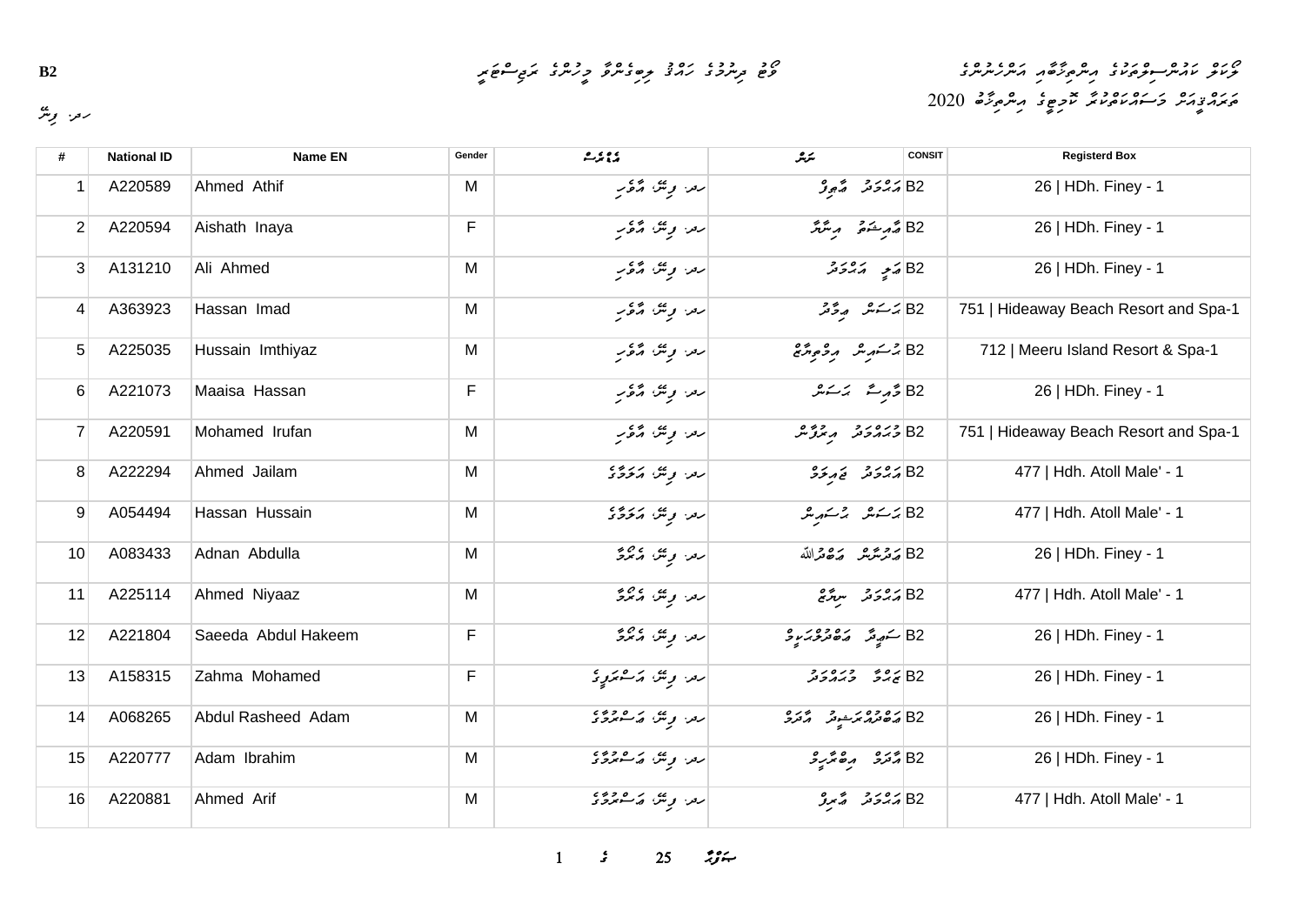*sCw7q7s5w7m< o<n9nOoAw7o< sCq;mAwBoEw7q<m; wBm;vB* م من المرة المرة المرة المرة المرة المرة العربية 2020<br>مجم*د المريض المريض المربع المربع المربع المراجع المراجع ال* 

| #              | <b>National ID</b> | <b>Name EN</b>      | Gender       | <b>ئى ئەر</b>           | ىترىر                                      | <b>CONSIT</b> | <b>Registerd Box</b>                  |
|----------------|--------------------|---------------------|--------------|-------------------------|--------------------------------------------|---------------|---------------------------------------|
|                | A220589            | Ahmed Athif         | M            | رمز، ویکن از کار        | B2 كەبرو ئەھمى ئى                          |               | 26   HDh. Finey - 1                   |
| $\vert$ 2      | A220594            | Aishath Inaya       | $\mathsf{F}$ | رمز، ویکن ازه د         | B2 مەم ئىستىم مەمتىگە                      |               | 26   HDh. Finey - 1                   |
| 3              | A131210            | Ali Ahmed           | M            | رمز، ویش مڑوب           | B2 <i>جَجِهِ حَدْوَ</i> تَرُ               |               | 26   HDh. Finey - 1                   |
| $\overline{4}$ | A363923            | Hassan Imad         | M            | رمه ویژه ژوپ            | B2  يَاسَدُ مِدَّقْدُ _                    |               | 751   Hideaway Beach Resort and Spa-1 |
| 5 <sup>5</sup> | A225035            | Hussain Imthiyaz    | M            | رمز، ویکن از گار        | B2 جُسَمبر شهر مرد مردم م                  |               | 712   Meeru Island Resort & Spa-1     |
| $6 \mid$       | A221073            | Maaisa Hassan       | $\mathsf{F}$ | رمہ ویش مڑی ر           | B2 جۇمەسىم ئەسكەنلە                        |               | 26   HDh. Finey - 1                   |
| $\overline{7}$ | A220591            | Mohamed Irufan      | M            | رمز ویکن از کار         | B2 <i>دې ده د</i> په بروگر                 |               | 751   Hideaway Beach Resort and Spa-1 |
| 8 <sup>°</sup> | A222294            | Ahmed Jailam        | M            | رمز ویک پروی            |                                            |               | 477   Hdh. Atoll Male' - 1            |
| 9              | A054494            | Hassan Hussain      | M            | رمز ویک پروه            | B2   يَرْسَدُ فِي قَرْسُهُ فِي             |               | 477   Hdh. Atoll Male' - 1            |
| 10             | A083433            | Adnan Abdulla       | M            | رور، ویش از محرو        | B2 كەنترىترىتر كەنتى للە                   |               | 26   HDh. Finey - 1                   |
| 11             | A225114            | Ahmed Niyaaz        | M            | رمز، ویکن ایرچرمی       | B2 كەندى قىر سىرتىمى                       |               | 477   Hdh. Atoll Male' - 1            |
| 12             | A221804            | Saeeda Abdul Hakeem | $\mathsf F$  | رمز، ویش از پروژ        | B2 سَم <i>ِيعٌ مَـُ صَوَّرْ بَرْ بِ</i> حْ |               | 26   HDh. Finey - 1                   |
| 13             | A158315            | Zahma Mohamed       | $\mathsf{F}$ | رىر. وتىش كەسىمىتى ئى   | $5,000$ $500$ $B2$                         |               | 26   HDh. Finey - 1                   |
| 14             | A068265            | Abdul Rasheed Adam  | M            | رورا او میں ایک شاعروزی | B2 كەھەركە ئويىشوتر مەترى                  |               | 26   HDh. Finey - 1                   |
| 15             | A220777            | Adam Ibrahim        | M            | رى وېش كەن مەدە         | B2 مُقرَّح مِنْ مُحَمَّدِ وَ               |               | 26   HDh. Finey - 1                   |
| 16             | A220881            | Ahmed Arif          | M            | رى وېش كەسىمى دە        | B2 كەنزى قىلىدۇ                            |               | 477   Hdh. Atoll Male' - 1            |

 $1$  *s* 25  $25$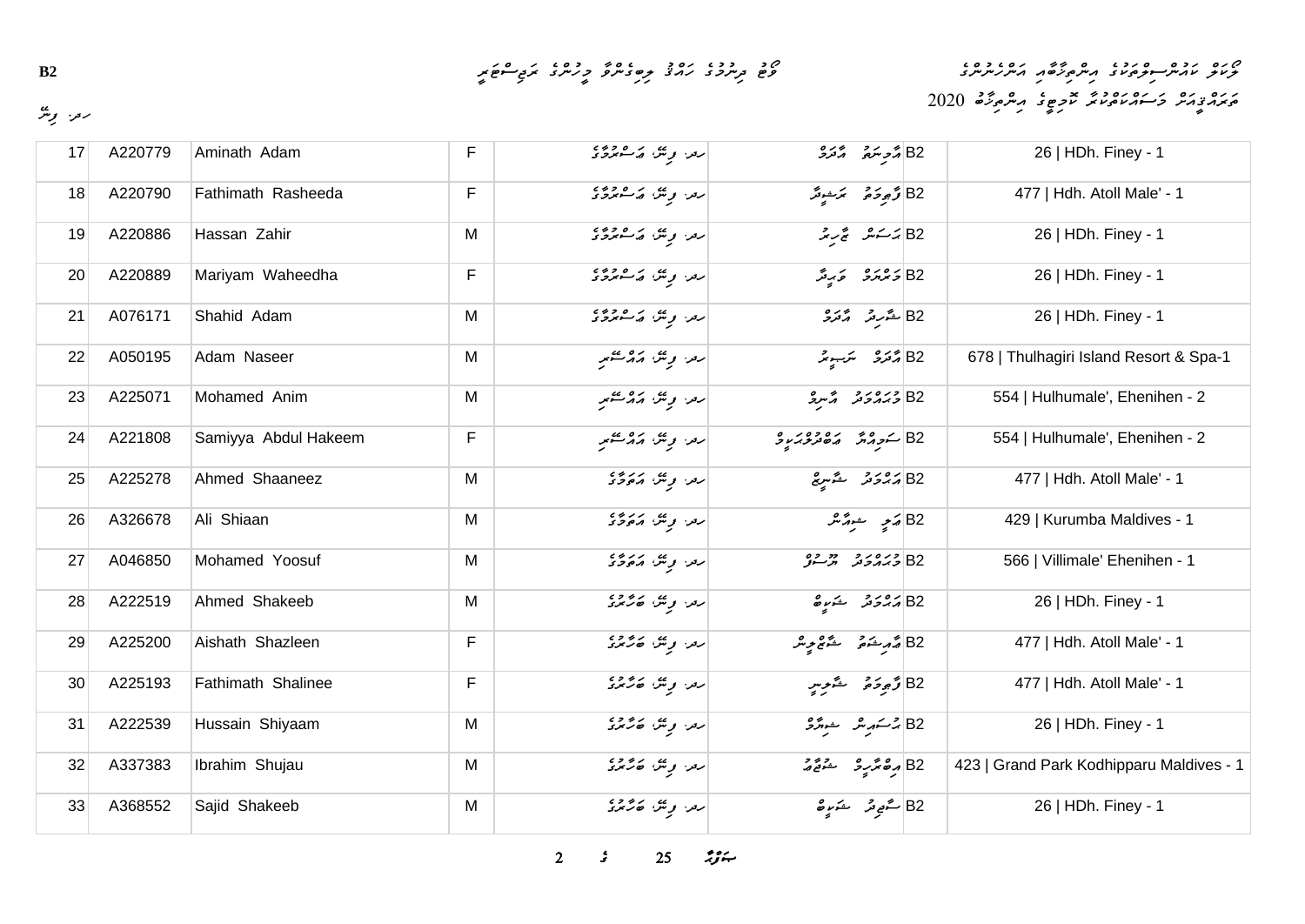*sCw7q7s5w7m< o<n9nOoAw7o< sCq;mAwBoEw7q<m; wBm;vB 2020*<br>*په پوهر وسوډيرونو لومو د موجو د مرمونه* 2020

| 17 | A220779 | Aminath Adam         | F           | رىن وېش كەسىمىردى       | B2  مُرْحِبَهُمْ الْمُعْرَفُ               | 26   HDh. Finey - 1                      |
|----|---------|----------------------|-------------|-------------------------|--------------------------------------------|------------------------------------------|
| 18 | A220790 | Fathimath Rasheeda   | F           | رى وپى كەسىمدە          | B2 <i>وَّجوحَ</i> هُمَ سَمَسُومَّرَ        | 477   Hdh. Atoll Male' - 1               |
| 19 | A220886 | Hassan Zahir         | M           | رى پەش كەسىم دە         | B2   پرستر سمج پاتيل                       | 26   HDh. Finey - 1                      |
| 20 | A220889 | Mariyam Waheedha     | $\mathsf F$ | رى وېش كەن دەر          | B2 كەنگەر ئەر ئەر ئىس                      | 26   HDh. Finey - 1                      |
| 21 | A076171 | Shahid Adam          | M           | رورا او میں ایک شاعروزی | B2 يَدْرِيْرُ مُرْتَزَدُ                   | 26   HDh. Finey - 1                      |
| 22 | A050195 | Adam Naseer          | M           | رىن ۋىتن مەم ئىمىر      | B2 مُحَمَّدٌ سَنَبِيْتُ                    | 678   Thulhagiri Island Resort & Spa-1   |
| 23 | A225071 | Mohamed Anim         | M           | رفزا ویکل ازاد منفعر    | B2 دېم دېمبر د کار دي.                     | 554   Hulhumale', Ehenihen - 2           |
| 24 | A221808 | Samiyya Abdul Hakeem | $\mathsf F$ | رەرا بوش كەكەتتىمىز     | B2 س <i>ُجوم</i> گر مُص <i>ور ج</i> ميو مُ | 554   Hulhumale', Ehenihen - 2           |
| 25 | A225278 | Ahmed Shaaneez       | M           | رورا او ش از کار والی   | B2 كەندى قىرىقى ئىشلىرىنى ئى               | 477   Hdh. Atoll Male' - 1               |
| 26 | A326678 | Ali Shiaan           | M           | رمز ویک پروه            | B2 <i>۾َ جِهِ شومُ</i> شَر                 | 429   Kurumba Maldives - 1               |
| 27 | A046850 | Mohamed Yoosuf       | M           | رىن بېش كەردە ئ         | B2 جرم دی در وہ<br>B2 جہا <i>ر جنگ الر</i> | 566   Villimale' Ehenihen - 1            |
| 28 | A222519 | Ahmed Shakeeb        | M           | رى وېش ھەمرى            | B2 كەندى قىر ھ                             | 26   HDh. Finey - 1                      |
| 29 | A225200 | Aishath Shazleen     | $\mathsf F$ | رو. ویک کارگرده         | B2 مەم ئىكىم ئىگە ئوبىر                    | 477   Hdh. Atoll Male' - 1               |
| 30 | A225193 | Fathimath Shalinee   | F           | رورا ویش کار داده       | B2 تُرجوحَ مُ شَعْرِ سِ                    | 477   Hdh. Atoll Male' - 1               |
| 31 | A222539 | Hussain Shiyaam      | M           | رىدا بوش كەم دە         | B2 پر سمبر شورگر شورگر                     | 26   HDh. Finey - 1                      |
| 32 | A337383 | Ibrahim Shujau       | M           | رى وېش ھەمرى            | B2 مەھمگىر ئىس مەمم                        | 423   Grand Park Kodhipparu Maldives - 1 |
| 33 | A368552 | Sajid Shakeeb        | M           | رى وېش ھەمرى            | B2 گىمونر شك <i>ى</i> ر <i>ە</i>           | 26   HDh. Finey - 1                      |

 $2$  *s*  $25$  *z*  $25$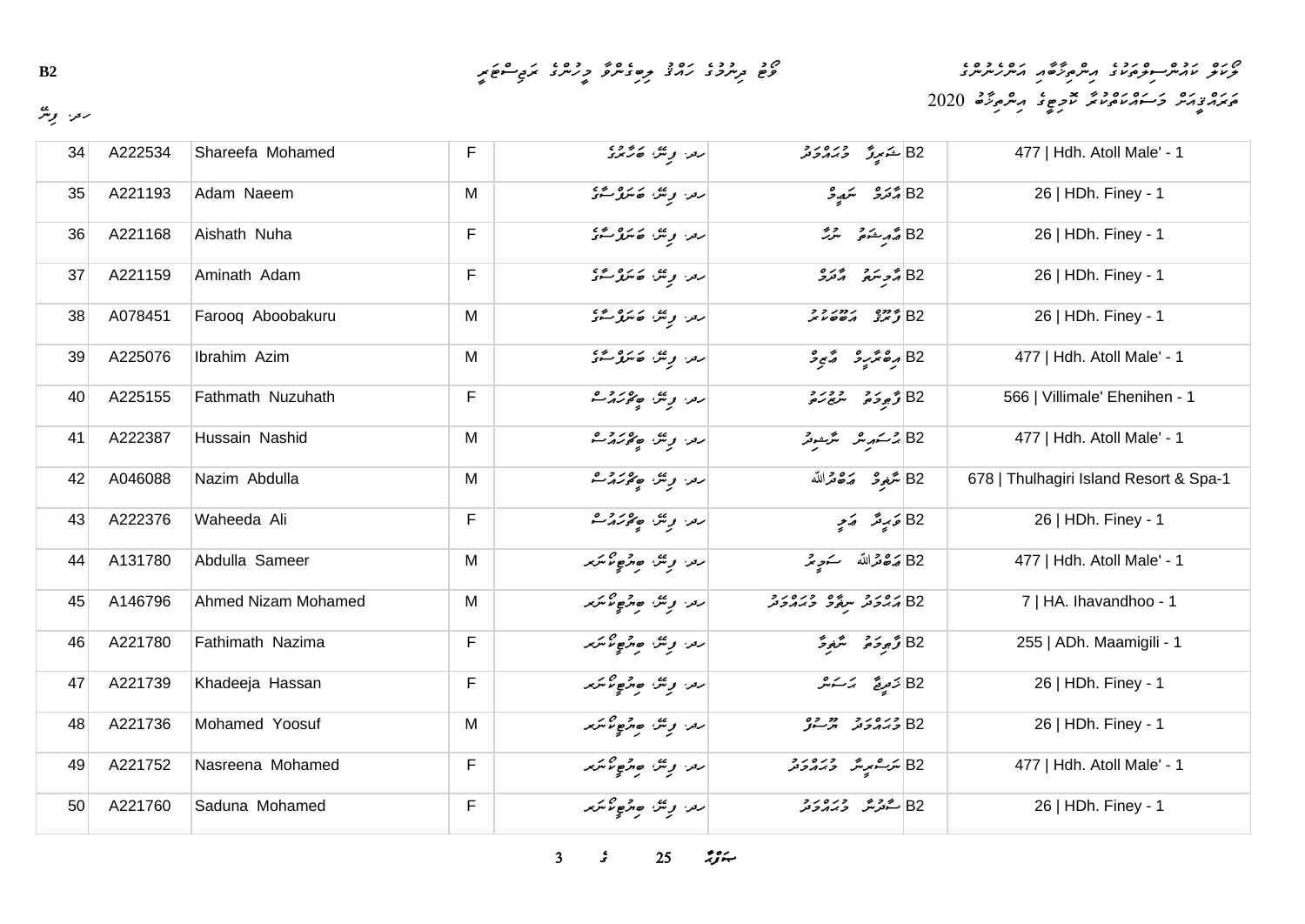*sCw7q7s5w7m< o<n9nOoAw7o< sCq;mAwBoEw7q<m; wBm;vB* م من المرة المرة المرة المرجع المرجع في المركبة 2020<br>مجم*د المريض المربوط المربع المرجع في المراجع المركبة* 

| 34 | A222534 | Shareefa Mohamed    | F           | رىن ۋىتن ھەردە         | B2 ڪَمِرِڙَ <i>دَبَہُ دُوَ</i>                                       | 477   Hdh. Atoll Male' - 1             |
|----|---------|---------------------|-------------|------------------------|----------------------------------------------------------------------|----------------------------------------|
| 35 | A221193 | Adam Naeem          | M           | رىر. وېش كەنترىشى      | B2 <i>مُحَرَّدُ سَمِي</i> ْرُ                                        | 26   HDh. Finey - 1                    |
| 36 | A221168 | Aishath Nuha        | F           | رىر. وېش كەسمىرىسىمى   | B2 مۇم شۇ ھەر ئىرگ                                                   | 26   HDh. Finey - 1                    |
| 37 | A221159 | Aminath Adam        | F           | رىر ، بەش خەشۇرىتىمى   | B2 أُمُّ جِسَعَةٍ مُحَمَّدٍ                                          | 26   HDh. Finey - 1                    |
| 38 | A078451 | Farooq Aboobakuru   | M           | رىر ، بەش كەسمىرىسىمى  | $77777$ $377$ B2                                                     | 26   HDh. Finey - 1                    |
| 39 | A225076 | Ibrahim Azim        | M           | رىر. وېش كەنترىشى      | B2 م <i>ەھترى</i> رى مەم                                             | 477   Hdh. Atoll Male' - 1             |
| 40 | A225155 | Fathmath Nuzuhath   | F           | رىد. رىش ھەردىمىت      | B2 تُہوجہ مُتَّمَّةٌ مُتَّمَّةٌ مُنَّةٌ مُنَّةٌ مُنَّةٌ مُنَّةٌ مُنْ | 566   Villimale' Ehenihen - 1          |
| 41 | A222387 | Hussain Nashid      | M           | رىر. وپىن ھەردىر ھ     | B2 پُرڪمبر مگر مگر شونگر                                             | 477   Hdh. Atoll Male' - 1             |
| 42 | A046088 | Nazim Abdulla       | M           | رىر. بولىق ھەممەر 2 ھ  | B2 سَمْعِ 3 سَرْصُوْرَ اللّه                                         | 678   Thulhagiri Island Resort & Spa-1 |
| 43 | A222376 | Waheeda Ali         | F           | رىر. وپىن ھەرگەر ق     | B2 <i>وَبِ</i> تَر <sub>م</sub> َر <sub>َ</sub> حٍ                   | 26   HDh. Finey - 1                    |
| 44 | A131780 | Abdulla Sameer      | M           | رىر. وېش ھەرھمى سىر    | B2 كَەھتراللە سەرىتر                                                 | 477   Hdh. Atoll Male' - 1             |
| 45 | A146796 | Ahmed Nizam Mohamed | M           | رىر. رقش ھەرھمى سىر    | B2 <i>גُرُوَتَرُ</i> سِهُوَ وَبَرَ دَوَتَرَ                          | 7   HA. Ihavandhoo - 1                 |
| 46 | A221780 | Fathimath Nazima    | $\mathsf F$ | رىر. بې شكل ھەرھ باشكر | B2 تَ <i>جِ حَقَّ</i> سَّمَّجِ حَ                                    | 255   ADh. Maamigili - 1               |
| 47 | A221739 | Khadeeja Hassan     | F           | رىر. وېش ھەرھمىتىر     | B2 كَتَمِيعٌ = يَرْسَمْسُ                                            | 26   HDh. Finey - 1                    |
| 48 | A221736 | Mohamed Yoosuf      | M           | رىر. وېش ھەرھمى سىر    | B2 دېږدونه پر ده.                                                    | 26   HDh. Finey - 1                    |
| 49 | A221752 | Nasreena Mohamed    | F           | رىر. وېش ھەرھمىتىر     | B2 ىترىشمېرىش ت <i>و چەم</i> رىتى                                    | 477   Hdh. Atoll Male' - 1             |
| 50 | A221760 | Saduna Mohamed      | F           | رىر. رىش ھەرھمىتىر     | B2 گەنزىتر بەربەر دىر                                                | 26   HDh. Finey - 1                    |

**3** *3* **<b>***25 25 25*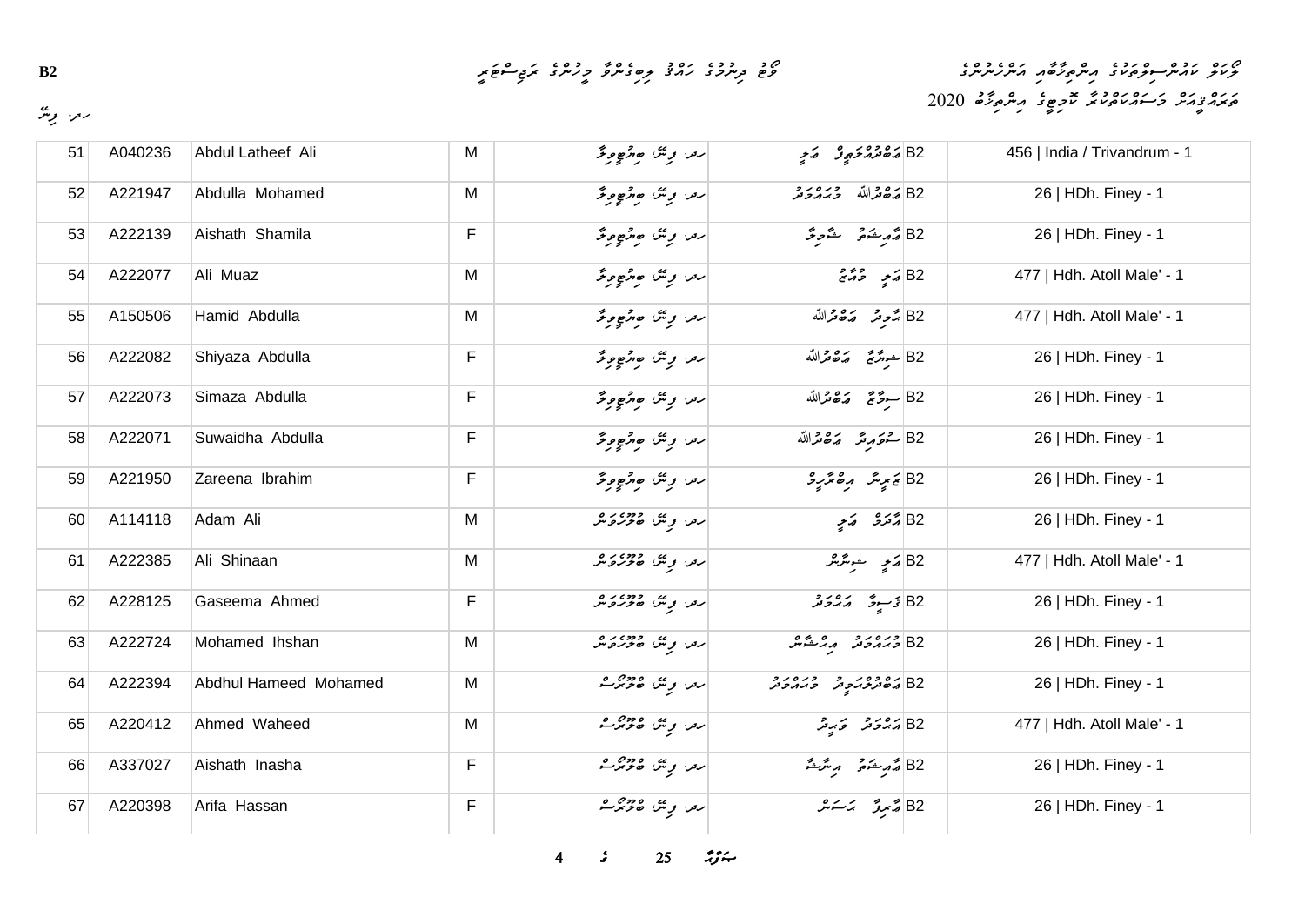*sCw7q7s5w7m< o<n9nOoAw7o< sCq;mAwBoEw7q<m; wBm;vB 2020*<br>*په پوهر وسوډيرونو لومو د موجو د مرمونه* 2020

| 51 | A040236 | Abdul Latheef Ali     | M           | رىر. رېئر، ھېرچورگ  | B2 <i>مُـەفْرُمْ كَوَوْ _ مَ</i> جِ            | 456   India / Trivandrum - 1 |
|----|---------|-----------------------|-------------|---------------------|------------------------------------------------|------------------------------|
| 52 | A221947 | Abdulla Mohamed       | M           | رىر. وېئز، ھەرھچوق  | B2 رَحْمَدْاللّه وَبَرْمُرْمَّرْ               | 26   HDh. Finey - 1          |
| 53 | A222139 | Aishath Shamila       | $\mathsf F$ | رىر. رېئر، ھىرھورتى | B2 مُەمِسْتَمْ شَوْقَر                         | 26   HDh. Finey - 1          |
| 54 | A222077 | Ali Muaz              | M           | رىر. رېئر، ھىرھورتى | B2 <i>جَدِّج</i> وَ <i>مُ</i> حَ               | 477   Hdh. Atoll Male' - 1   |
| 55 | A150506 | Hamid Abdulla         | M           | رىر. رېئر، ھىركھ ھۇ | B2 بَرْحِ <i>مْهُ مْ</i> هُ مِّرَاللَّه        | 477   Hdh. Atoll Male' - 1   |
| 56 | A222082 | Shiyaza Abdulla       | $\mathsf F$ | رىر. رېئر، ھېرچورگ  | B2 شوتريج كورج ترالله                          | 26   HDh. Finey - 1          |
| 57 | A222073 | Simaza Abdulla        | F           | رىر. رېئر، ھىرھورتى | B2 سِوتَةً صَ <b>صَ</b> قَرَاللّه              | 26   HDh. Finey - 1          |
| 58 | A222071 | Suwaidha Abdulla      | F           | رىر. رېئر، ھىركھ ھۇ | B2 سومریز ک <i>ے م</i> قراللہ                  | 26   HDh. Finey - 1          |
| 59 | A221950 | Zareena Ibrahim       | F           | رو. ويتن ھيڑھورڈ    | B2 ى <sub>ج بېرىنگرىم ھ</sub> ر ئارچ           | 26   HDh. Finey - 1          |
| 60 | A114118 | Adam Ali              | M           | رى دە مەرەب         | B2 چُترنژ کم <i>َ م</i> ح                      | 26   HDh. Finey - 1          |
| 61 | A222385 | Ali Shinaan           | M           | رى دىن ھۆرۈش        | B2 <i>۾َ جِ</i> حو <i>مُرُنگر</i>              | 477   Hdh. Atoll Male' - 1   |
| 62 | A228125 | Gaseema Ahmed         | F           | رى دىن ھۆرۈش        | B2 تخ <sup>م</sup> سومًا – م <i>ح</i> مدة محمد | 26   HDh. Finey - 1          |
| 63 | A222724 | Mohamed Ihshan        | M           | رى دە بە دەرەرە     | B2 <i>جەممى</i> ھەر مەشقىر                     | 26   HDh. Finey - 1          |
| 64 | A222394 | Abdhul Hameed Mohamed | M           | رىر. بې ھەم ھەم ھ   | B2 בטיפה פרסק פרסיק<br>בא בטיפה פרט            | 26   HDh. Finey - 1          |
| 65 | A220412 | Ahmed Waheed          | M           | رىر. بوش ھۆترگ      | B2 كەندى قىرىتر                                | 477   Hdh. Atoll Male' - 1   |
| 66 | A337027 | Aishath Inasha        | F           | رور ویژه ۱۵۶۵ ه     | B2 مُ مِشَمَّ مِسَّرْشَہُ                      | 26   HDh. Finey - 1          |
| 67 | A220398 | Arifa Hassan          | F           | رى وش ھۆترے         | B2 ۾َ <sub>محر</sub> وَ - برڪشر                | 26   HDh. Finey - 1          |

*4 s* 25  $25$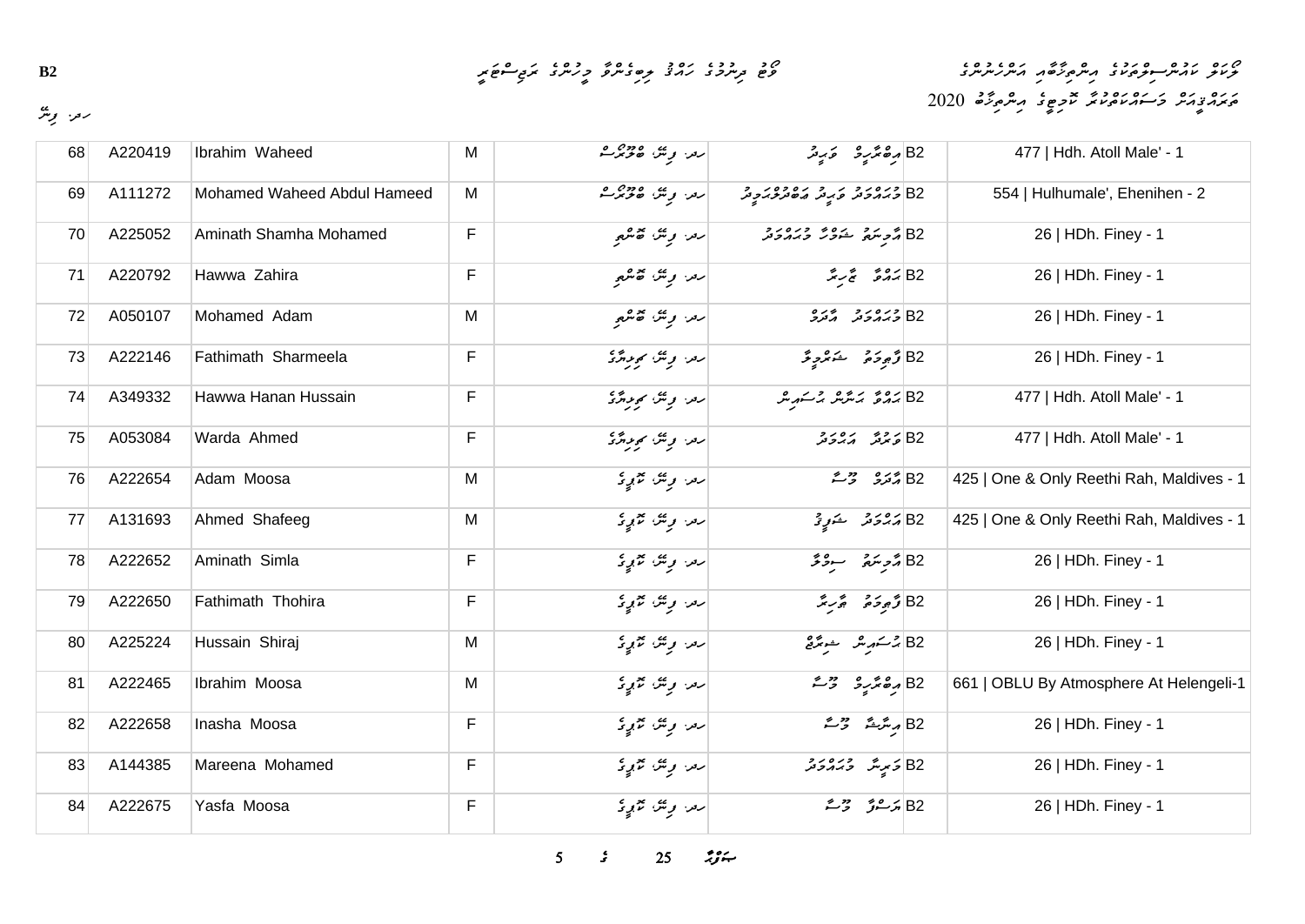*sCw7q7s5w7m< o<n9nOoAw7o< sCq;mAwBoEw7q<m; wBm;vB* م من المرة المرة المرة المرة المرة المرة العربية 2020<br>مجم*د المريض المريض المربع المربع المربع المراجع المراجع ال* 

| 68 | A220419 | Ibrahim Waheed              | M           | رور ، ويژه ، دوچرے          | B2 مەھم <i>گىرى ق</i> ېرى <i>گ</i>                                                                             | 477   Hdh. Atoll Male' - 1                |
|----|---------|-----------------------------|-------------|-----------------------------|----------------------------------------------------------------------------------------------------------------|-------------------------------------------|
| 69 | A111272 | Mohamed Waheed Abdul Hameed | M           | رىر. وتىن ھۆترگ             | B2 כימים ביני הסיניפית ב                                                                                       | 554   Hulhumale', Ehenihen - 2            |
| 70 | A225052 | Aminath Shamha Mohamed      | $\mathsf F$ | رىر. بوش ھىرىم              | B2 جُرِسَمَ شَوَرَ وَبَرْدُونَر                                                                                | 26   HDh. Finey - 1                       |
| 71 | A220792 | Hawwa Zahira                | $\mathsf F$ | رىر. بوش ھىرىم              | B2 بَرْدْهُ تَجْرِبَّهُ                                                                                        | 26   HDh. Finey - 1                       |
| 72 | A050107 | Mohamed Adam                | M           | رىن وېتن ھىترە              | B2 32023 كرو                                                                                                   | 26   HDh. Finey - 1                       |
| 73 | A222146 | Fathimath Sharmeela         | $\mathsf F$ | رىر ، و ئىش مى دەڭرى        | B2 <i>وَّجِ دَمَ</i> شَمْر <sub>ُتٍ مَّ</sub>                                                                  | 26   HDh. Finey - 1                       |
| 74 | A349332 | Hawwa Hanan Hussain         | $\mathsf F$ | رمر ویش نمودگرد             | B2 <i>يَدُوُيُّ بَ</i> ـُمَرْسُ بِرُسَمَ سِرْسُ                                                                | 477   Hdh. Atoll Male' - 1                |
| 75 | A053084 | Warda Ahmed                 | $\mathsf F$ | رىر ، و ئىش مىمى پرگى       | B2 كۆيىگە كەش <b>رى</b> ر                                                                                      | 477   Hdh. Atoll Male' - 1                |
| 76 | A222654 | Adam Moosa                  | M           | رمر ویش توپی                | B2 درو وحت                                                                                                     | 425   One & Only Reethi Rah, Maldives - 1 |
| 77 | A131693 | Ahmed Shafeeg               | M           | رمه ویش توپو                | B2 كەندى كىمى ئىككىنى ئىككىتى ئىككىنى ئىككىت بىرى ئىككىن ئىككىن ئىككىن ئىككىن ئىككىن ئىككىن ئىككىن بىل كەنتى ك | 425   One & Only Reethi Rah, Maldives - 1 |
| 78 | A222652 | Aminath Simla               | F           | رمز، ویکن نژوی              | B2 أَمَّ مِسْرَمَّةٌ مُسْرَوْخٌ                                                                                | 26   HDh. Finey - 1                       |
| 79 | A222650 | Fathimath Thohira           | F           | رىر. وېش توپ <sub>و</sub> ي | B2 تَ <i>جِ جَ</i> حْمَۃُ جَمَّ بِتَمَّ                                                                        | 26   HDh. Finey - 1                       |
| 80 | A225224 | Hussain Shiraj              | M           | رمر ویکن تعمیری             | B2 پرڪيريش جو پڙھي                                                                                             | 26   HDh. Finey - 1                       |
| 81 | A222465 | Ibrahim Moosa               | M           | رمر ویژ، نیموی              | B2 مەمگرىدە ق <sup>ىم</sup>                                                                                    | 661   OBLU By Atmosphere At Helengeli-1   |
| 82 | A222658 | Inasha Moosa                | $\mathsf F$ | رمز. ویکن نژویکی            | B2 مِتَرْتَ حَرْبَتَهُ ا                                                                                       | 26   HDh. Finey - 1                       |
| 83 | A144385 | Mareena Mohamed             | F           | رمر ویش بھوتی               | B2 كەمپىگە ق <i>ەتم</i> ەم قىر                                                                                 | 26   HDh. Finey - 1                       |
| 84 | A222675 | Yasfa Moosa                 | $\mathsf F$ | رىر. وېتر، ئىزوكى           | B2 تر مشترق محر مشتر                                                                                           | 26   HDh. Finey - 1                       |

 $5$   $\cancel{5}$   $25$   $\cancel{25}$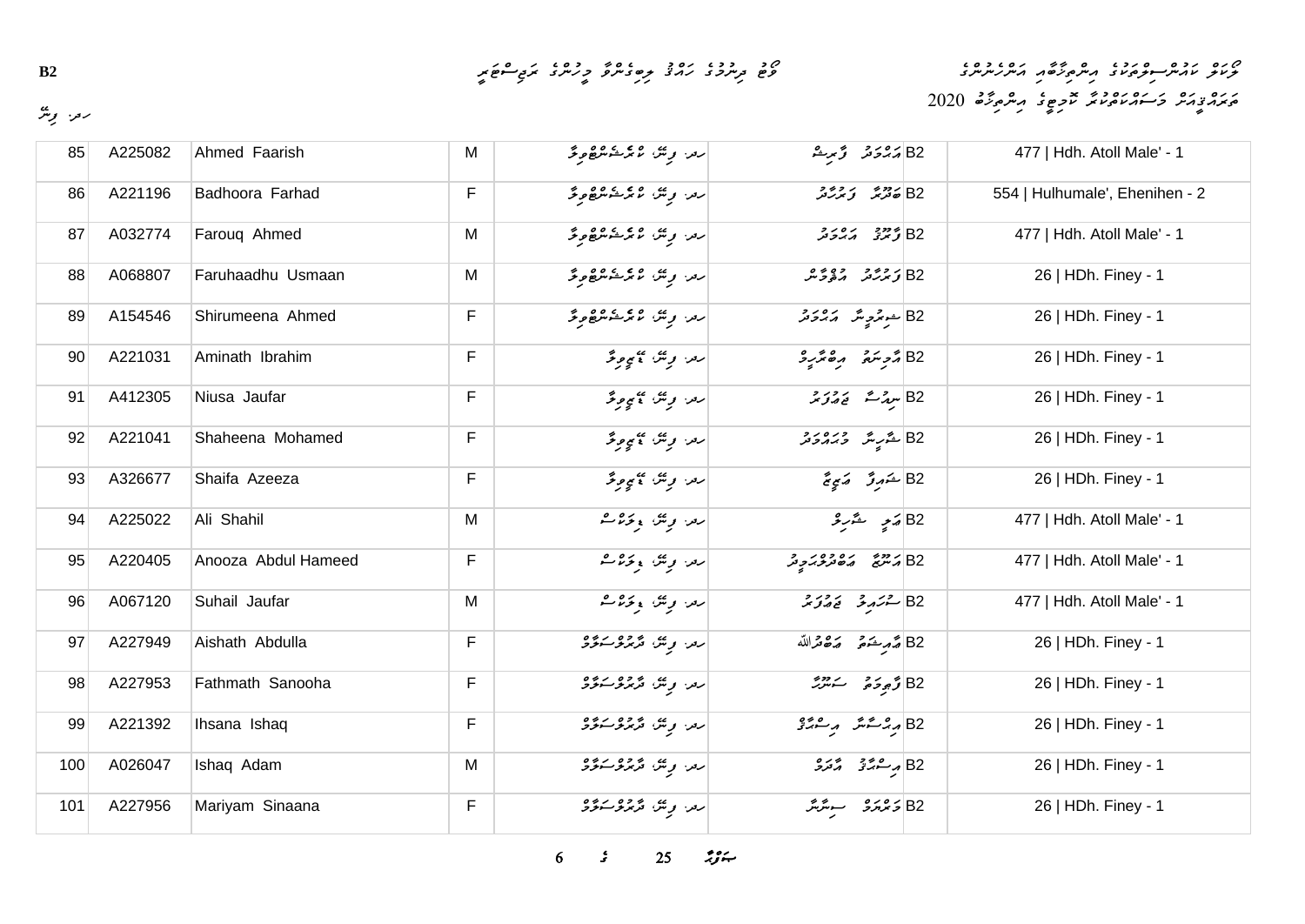*sCw7q7s5w7m< o<n9nOoAw7o< sCq;mAwBoEw7q<m; wBm;vB* م من المرة المرة المرة المرة المرة المرة العربية 2020<br>مجم*د المريض المريض المربع المربع المربع المراجع المراجع ال* 

| 85  | A225082 | Ahmed Faarish       | M           | رىر. بەش ئابرىشەندە بولۇ | B2 كەندى قىلى ئىلىن ئىل                   | 477   Hdh. Atoll Male' - 1     |
|-----|---------|---------------------|-------------|--------------------------|-------------------------------------------|--------------------------------|
| 86  | A221196 | Badhoora Farhad     | F           | رىر. بەش ئابرىشەندە بۇ ئ | B2 کے دور کی ترکی تھر                     | 554   Hulhumale', Ehenihen - 2 |
| 87  | A032774 | Farouq Ahmed        | M           | رىر. بەش ئابرىشەندەھ بەش | B2 ۇىيز ئەرەر د                           | 477   Hdh. Atoll Male' - 1     |
| 88  | A068807 | Faruhaadhu Usmaan   | M           | رىر. بەش ئابرىشىرھ بوڭر  | B2 ۇىرتىر مۇۋىر                           | 26   HDh. Finey - 1            |
| 89  | A154546 | Shirumeena Ahmed    | $\mathsf F$ | رىر. بوش ئابرىشىر ھەم ئ  | B2 سىمگى ھەر كەردىگە                      | 26   HDh. Finey - 1            |
| 90  | A221031 | Aminath Ibrahim     | $\mathsf F$ | رىرا بوش ؟ يې بوق        |                                           | 26   HDh. Finey - 1            |
| 91  | A412305 | Niusa Jaufar        | F           | رو، وِتَنَ ۽ مچ وِتَر    | B2 سرقر شم تھ تو تھ                       | 26   HDh. Finey - 1            |
| 92  | A221041 | Shaheena Mohamed    | $\mathsf F$ | رىرا بويىن ، ئام بورگە   | B2 ش <i>ۇرىتى جەم</i> ردىر                | 26   HDh. Finey - 1            |
| 93  | A326677 | Shaifa Azeeza       | F           | رىلا او ئىش كامچ جانچى   | B2 ش <i>ەرۇ م</i> ەيج                     | 26   HDh. Finey - 1            |
| 94  | A225022 | Ali Shahil          | M           | رمها ويتنا وتراث         | B2 كەير مەشرىمى                           | 477   Hdh. Atoll Male' - 1     |
| 95  | A220405 | Anooza Abdul Hameed | $\mathsf F$ | رەر، بويىش، بە ئەنۇب ھ   | B2 ג׳יג ג׳י פיני בי                       | 477   Hdh. Atoll Male' - 1     |
| 96  | A067120 | Suhail Jaufar       | M           | رىر. بويىش ، ئۇناش       | B2 سىمكىرى ئەر <i>ۇن</i> كە               | 477   Hdh. Atoll Male' - 1     |
| 97  | A227949 | Aishath Abdulla     | F           | رىر. بەش ئەيروسىۋە       | B2 مُجمِّدَة مَرْهَقْرَاللَّه             | 26   HDh. Finey - 1            |
| 98  | A227953 | Fathmath Sanooha    | $\mathsf F$ | رى پەش ئەيرومەيدە        | B2 ۇ <sub>جو</sub> رَمْ سَن <i>مېرى</i> گ | 26   HDh. Finey - 1            |
| 99  | A221392 | Ihsana Ishaq        | $\mathsf F$ | رى وش ترىرومىدە 2        | B2 مەشقىقر مەسى <i>مدى</i>                | 26   HDh. Finey - 1            |
| 100 | A026047 | Ishaq Adam          | M           | رو. ویژ، ویروسنوو        | B2 <sub>م</sub> ِ سُبُرُتْزِ مُرْمَرْدَ   | 26   HDh. Finey - 1            |
| 101 | A227956 | Mariyam Sinaana     | F           | رى پەش ئەيروسىۋە         | B2 ئ <i>ۇيرۇ س</i> ېترى <i>تر</i>         | 26   HDh. Finey - 1            |

 $6$   $\dot{5}$   $25$   $\ddot{25}$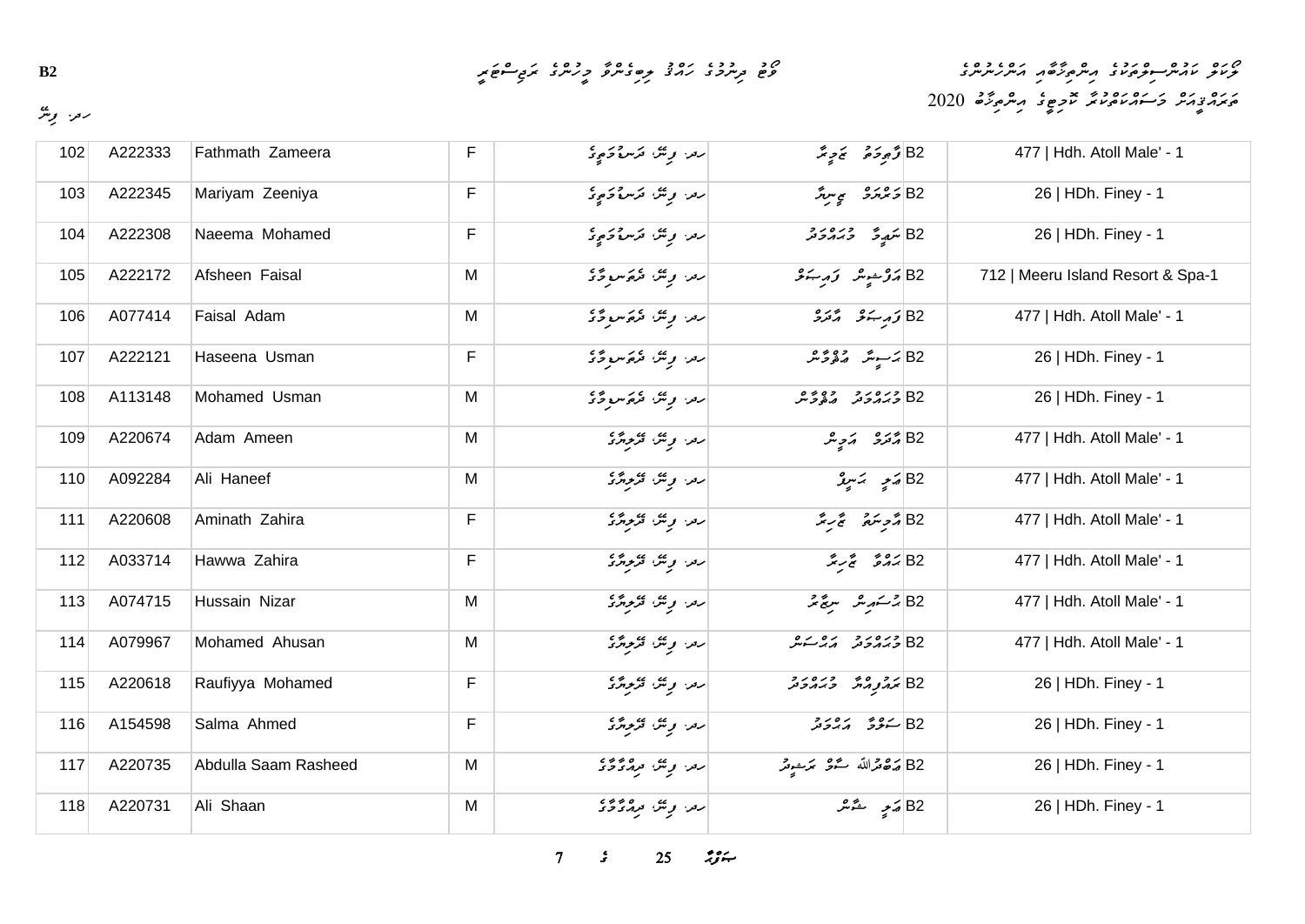*sCw7q7s5w7m< o<n9nOoAw7o< sCq;mAwBoEw7q<m; wBm;vB 2020*<br>*په پوهر وسوړ پاره ولايت موسي اوسر پر شمېر شه* 

| 102 | A222333 | Fathmath Zameera     | F | رىر. وېش مۇسۇكۇمچ          | B2 رَّج <i>وحَمْ</i> بَحَ <i>ج</i> ِسَّر | 477   Hdh. Atoll Male' - 1        |
|-----|---------|----------------------|---|----------------------------|------------------------------------------|-----------------------------------|
| 103 | A222345 | Mariyam Zeeniya      | F | رىر. وېش كرسى كړېدى        | B2 كەنگەر ئەس كەنگە                      | 26   HDh. Finey - 1               |
| 104 | A222308 | Naeema Mohamed       | F | رىن بوش ترسى ئەمج          | B2 سَمِيعٌ حَمْدَ جَعْدَ                 | 26   HDh. Finey - 1               |
| 105 | A222172 | Afsheen Faisal       | M | رىر ، و ئىش ، ترەكسى ئەتى  | B2   پَرُوْسِيِسْ کَهْرِسَکُوْ           | 712   Meeru Island Resort & Spa-1 |
| 106 | A077414 | Faisal Adam          | M | رىر. وېش ترەكىرە ۋى        | B2 ت <i>ومب تكو</i> ر محمدة المحددة      | 477   Hdh. Atoll Male' - 1        |
| 107 | A222121 | Haseena Usman        | F | رەر ، يىش ، ترەكىرە ئەتى   | B2 ئەسەمى <i>گە ھەۋەتلى</i>              | 26   HDh. Finey - 1               |
| 108 | A113148 | Mohamed Usman        | M | رەر ، يىش ، ترەكىرە ئەتى   | B2 <i>جەمەدە دەھ</i> ور                  | 26   HDh. Finey - 1               |
| 109 | A220674 | Adam Ameen           | M | رىر.   و ئىش   قرچەرى      | B2 م <i>گرنرڈ مکمی ش</i>                 | 477   Hdh. Atoll Male' - 1        |
| 110 | A092284 | Ali Haneef           | M | ردر ویش محروری             | B2 <i>جَ جِ</i> سَمِيْرٌ                 | 477   Hdh. Atoll Male' - 1        |
| 111 | A220608 | Aminath Zahira       | F | رمر ویش تروپژی             | B2 مُجِسَعَةٍ گَجَ سِمَّد                | 477   Hdh. Atoll Male' - 1        |
| 112 | A033714 | Hawwa Zahira         | F | رىمە: وِ ئَىلْ كَرُجِيْرُى | B2 ئەيمۇ ئى ئىرىتى                       | 477   Hdh. Atoll Male' - 1        |
| 113 | A074715 | Hussain Nizar        | M | رىر. وېش ئۇچەدى            | B2 بڑے ہر سرچ بڑ                         | 477   Hdh. Atoll Male' - 1        |
| 114 | A079967 | Mohamed Ahusan       | M | رىر. وېش ئۇچەدى            | B2 <i>جەممەدىرى مەشكى</i> ر              | 477   Hdh. Atoll Male' - 1        |
| 115 | A220618 | Raufiyya Mohamed     | F | رىر. وېش ئۇچەدى            | B2 <i>بَرْمَ وَمُسَ وَبَرْمُ وَبَ</i>    | 26   HDh. Finey - 1               |
| 116 | A154598 | Salma Ahmed          | F | رىر. وېش ئۇچەدى            | B2 كەنزى كەنزىر كەنزىر                   | 26   HDh. Finey - 1               |
| 117 | A220735 | Abdulla Saam Rasheed | M | رىن وېش مەم دە             | B2 مَەھمَّدَاللَّهُ سَّوَدٌ مَرَسْوِمْرٌ | 26   HDh. Finey - 1               |
| 118 | A220731 | Ali Shaan            | M | رىن وېش مەم دە             | B2 کی جگہ شہر                            | 26   HDh. Finey - 1               |

*7 sC 25 nNw?mS*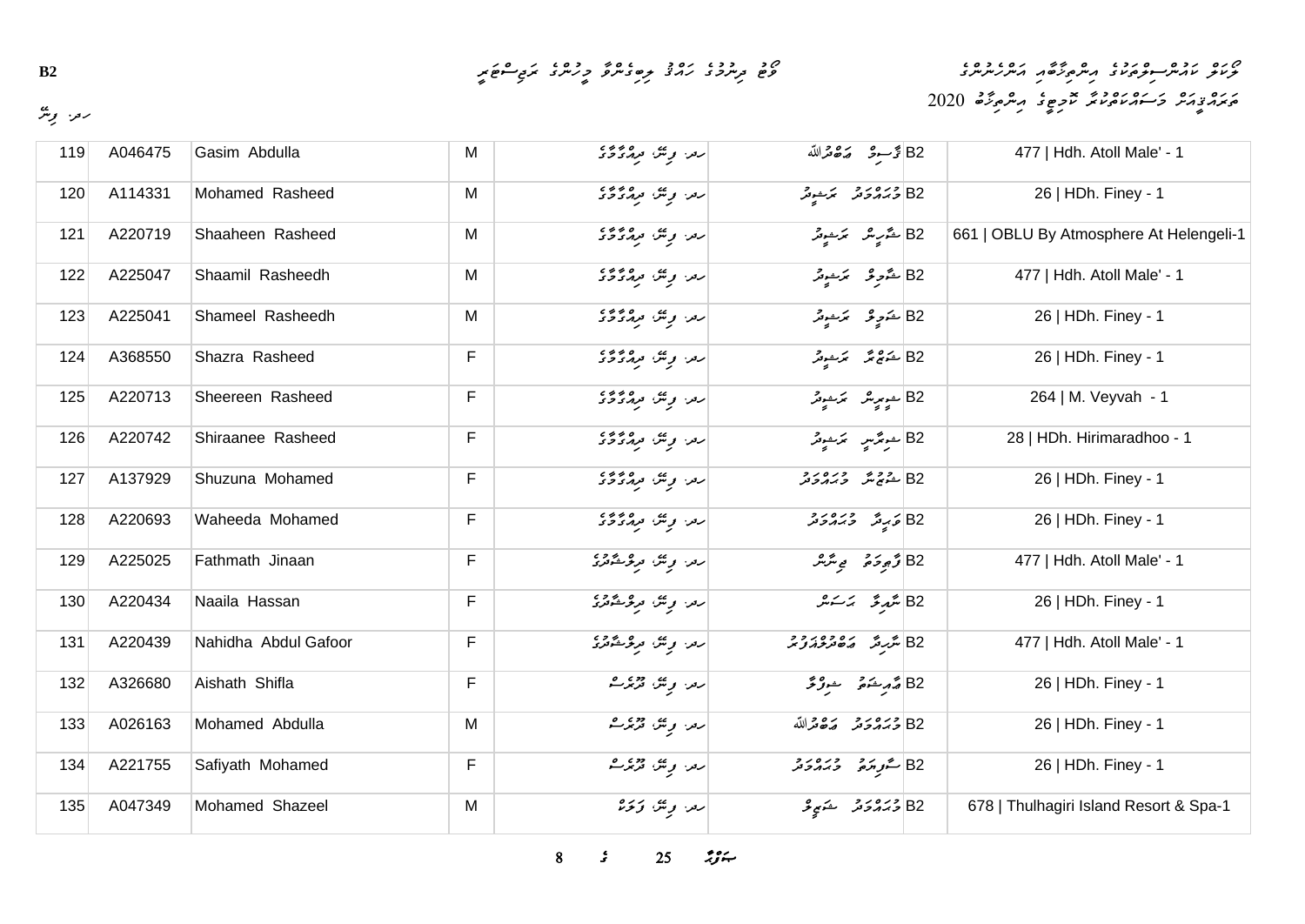*sCw7q7s5w7m< o<n9nOoAw7o< sCq;mAwBoEw7q<m; wBm;vB 2020*<br>*په پوهر وسوډيرونو لومو د موجو د مرمونه* 2020

| 119 | A046475 | Gasim Abdulla        | M            | رىن وېش مەم دە        |                                | 477   Hdh. Atoll Male' - 1              |
|-----|---------|----------------------|--------------|-----------------------|--------------------------------|-----------------------------------------|
| 120 | A114331 | Mohamed Rasheed      | M            | رمر ویش مردود و د     | B2 <i>وُبەدە تەر بۇ</i> سىمەتر | 26   HDh. Finey - 1                     |
| 121 | A220719 | Shaaheen Rasheed     | M            | رمز ، وش ، وه و و ه   | B2 ڪُريگر - مَرَڪومَرُ-        | 661   OBLU By Atmosphere At Helengeli-1 |
| 122 | A225047 | Shaamil Rasheedh     | M            | رمر ویش مردود و د     | B2 ڪُوو ترجي                   | 477   Hdh. Atoll Male' - 1              |
| 123 | A225041 | Shameel Rasheedh     | M            | رمر ویش مرد دود       | B2 شَرِجْ مَرْشِيْتَر          | 26   HDh. Finey - 1                     |
| 124 | A368550 | Shazra Rasheed       | $\mathsf{F}$ | رمر ویش مردود و د     | B2 ڪُنگه مگر مگر مقرم آر       | 26   HDh. Finey - 1                     |
| 125 | A220713 | Sheereen Rasheed     | F            | رىر. وېش مەم دە       | B2 شومریٹر کرشوٹر              | 264   M. Veyvah - 1                     |
| 126 | A220742 | Shiraanee Rasheed    | $\mathsf{F}$ | رمر ویش مردود و د     | B2 شومگرس کرشونگر              | 28   HDh. Hirimaradhoo - 1              |
| 127 | A137929 | Shuzuna Mohamed      | $\mathsf F$  | رىن وېش برە دەر       | B2 شەيم ئەرەر دېر              | 26   HDh. Finey - 1                     |
| 128 | A220693 | Waheeda Mohamed      | $\mathsf F$  | رمز ، و ش ، و و و و ، | B2 كەبرىگە ئ <i>ەندە</i> تەر   | 26   HDh. Finey - 1                     |
| 129 | A225025 | Fathmath Jinaan      | $\mathsf F$  | رىر. وېش مروستورى     | B2 تَ <i>وجودَ و</i> سَمَّى    | 477   Hdh. Atoll Male' - 1              |
| 130 | A220434 | Naaila Hassan        | F            | رىر. وېش مروستورى     | B2 سَمَدِ مَحَ بَرَسَة مَد     | 26   HDh. Finey - 1                     |
| 131 | A220439 | Nahidha Abdul Gafoor | $\mathsf{F}$ | رىر. وېش مروستورى     | B2 مگرىق پەھەردە دەرد          | 477   Hdh. Atoll Male' - 1              |
| 132 | A326680 | Aishath Shifla       | F            | رىدا بوش قرىزگ        | B2 مُ مِسْمَعٌ مُ سِوْرٌ مُحْ  | 26   HDh. Finey - 1                     |
| 133 | A026163 | Mohamed Abdulla      | M            | رمر ، و ش مرتزعه      | B2 ديرويو حك هوالله            | 26   HDh. Finey - 1                     |
| 134 | A221755 | Safiyath Mohamed     | F            | رور، ویکن، فریز ک     | B2 جُوبِرَة ويرەرو             | 26   HDh. Finey - 1                     |
| 135 | A047349 | Mohamed Shazeel      | M            | رىر. وىش قەنزە        | B2  <i>ۇبەۋەتى</i> شەپى        | 678   Thulhagiri Island Resort & Spa-1  |

**8** *s* **25** *z***<sub>***i***</sub>** *z***<sub>***i***</sub>** *z*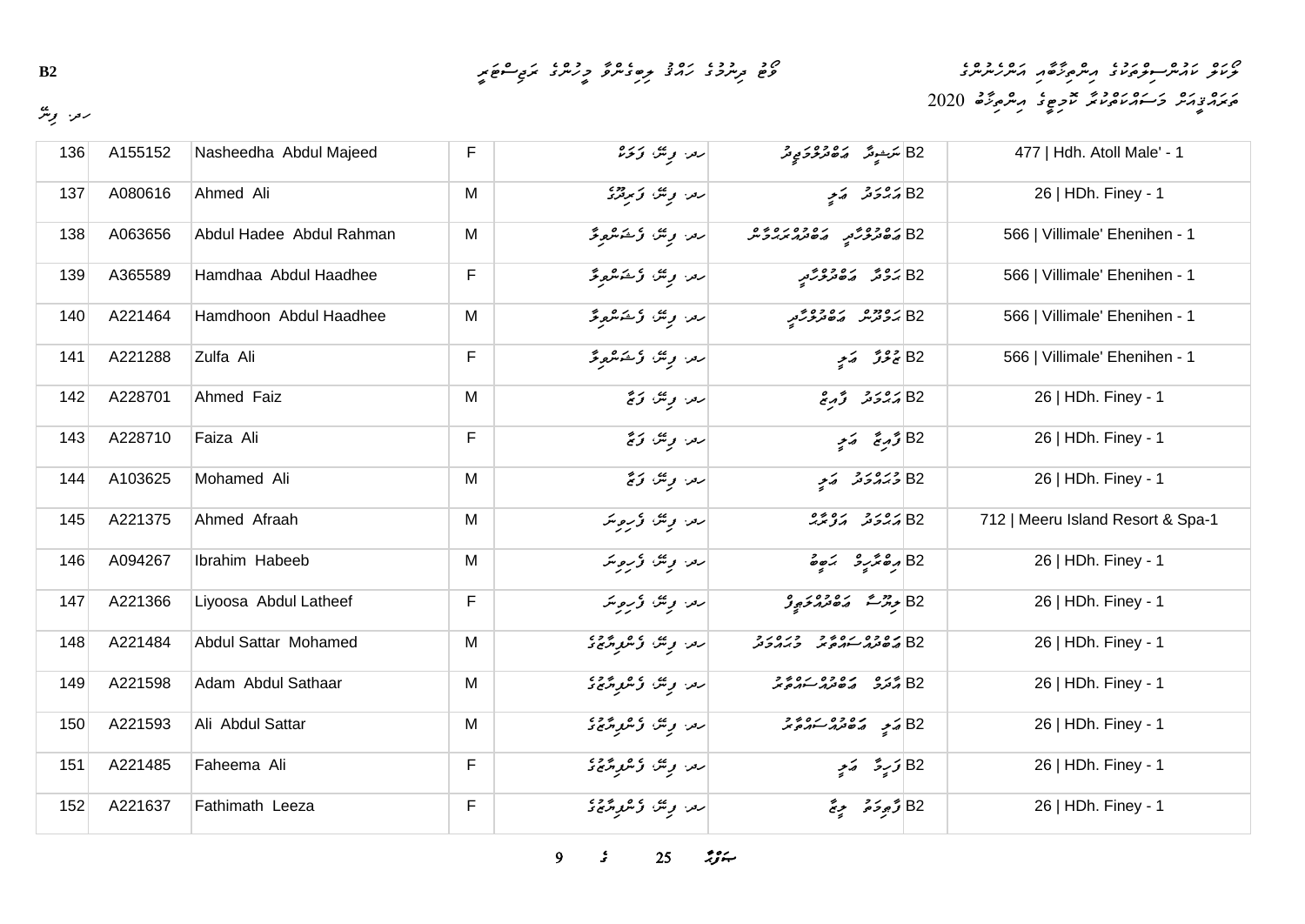*sCw7q7s5w7m< o<n9nOoAw7o< sCq;mAwBoEw7q<m; wBm;vB 2020*<br>*په پوهر وسوډيرونو لومو د موجو د مرمونه* 2020

| 136 | A155152 | Nasheedha Abdul Majeed   | F           | رىر. وىش ق <sup>ى</sup> قرى | B2 سَرَشونَدُ – مَرْه قرقروَ مِي مَرْ                                                             | 477   Hdh. Atoll Male' - 1        |
|-----|---------|--------------------------|-------------|-----------------------------|---------------------------------------------------------------------------------------------------|-----------------------------------|
| 137 | A080616 | Ahmed Ali                | M           | رو، ویش ق بروده             | B2 <i>2222 مك</i> و                                                                               | 26   HDh. Finey - 1               |
| 138 | A063656 | Abdul Hadee Abdul Rahman | M           | رىر. وېش ۋىشەشھەق           | B2 رە دەبر سە دەبرە بەە                                                                           | 566   Villimale' Ehenihen - 1     |
| 139 | A365589 | Hamdhaa Abdul Haadhee    | $\mathsf F$ | رەر ، بەش كىشكەھىگە         | B2 ژوئر مەھىرى <i>ۋرى</i> ر                                                                       | 566   Villimale' Ehenihen - 1     |
| 140 | A221464 | Hamdhoon Abdul Haadhee   | M           | رىر. وِتَنَ وَخَشَعْوِقَ    | B2 ג <sub>ל</sub> ووه برە دەمر                                                                    | 566   Villimale' Ehenihen - 1     |
| 141 | A221288 | Zulfa Ali                | F           | رەر ، بەش كىشكەھىگە         | B2 ج فحرٌ – مَ مِ                                                                                 | 566   Villimale' Ehenihen - 1     |
| 142 | A228701 | Ahmed Faiz               | M           | رىر. وِتَنَّ وَنَجَ         | B2   كەندى قىلى ئىلىنى ئىل                                                                        | 26   HDh. Finey - 1               |
| 143 | A228710 | Faiza Ali                | F           | رەر ، وِنَشَ وَنَجْ         | B2 وَم <i>ع مَ</i> حِ                                                                             | 26   HDh. Finey - 1               |
| 144 | A103625 | Mohamed Ali              | M           | رىر. وىش ق5                 | B2 دېمبر دي.<br>د ا                                                                               | 26   HDh. Finey - 1               |
| 145 | A221375 | Ahmed Afraah             | M           | رفزا ونثل كربوش             | B2 <i>הככת הפיש</i> ב                                                                             | 712   Meeru Island Resort & Spa-1 |
| 146 | A094267 | Ibrahim Habeeb           | M           | رمزا ونثل كربرونتر          | $\frac{2}{3}$ $\frac{2}{3}$ $\frac{2}{3}$ $\frac{2}{3}$ $\frac{2}{3}$ $\frac{2}{3}$ $\frac{2}{3}$ | 26   HDh. Finey - 1               |
| 147 | A221366 | Liyoosa Abdul Latheef    | $\mathsf F$ | أرفدا ويتل وكرويتر          | B2 جِهْرٌ مُتَمَّدٍ مُعْتَمَدٌ جَهِ رُ                                                            | 26   HDh. Finey - 1               |
| 148 | A221484 | Abdul Sattar Mohamed     | M           | رىر. وېش ۋىتروپرىي          | B2 رەم دەم دەم دىرەرد                                                                             | 26   HDh. Finey - 1               |
| 149 | A221598 | Adam Abdul Sathaar       | M           | رى وېش ۋىتروپرى             | B2 كەندە كەھەر يەم بورى                                                                           | 26   HDh. Finey - 1               |
| 150 | A221593 | Ali Abdul Sattar         | M           | رىر. وېش ۋىتروپىرى          | B2 كم موسى مەھ مەھ بىر                                                                            | 26   HDh. Finey - 1               |
| 151 | A221485 | Faheema Ali              | F           | رىر. وېش ۋىتروپىرى          | B2 تَرَرِدَّ - مَ <sup>ر</sup> َمٍ                                                                | 26   HDh. Finey - 1               |
| 152 | A221637 | Fathimath Leeza          | F           | رىر. وېش ۋىتروپىرى          | B2 <i>وَّجوحَمْ جِ</i> يَّ                                                                        | 26   HDh. Finey - 1               |

*9 s* 25  $25$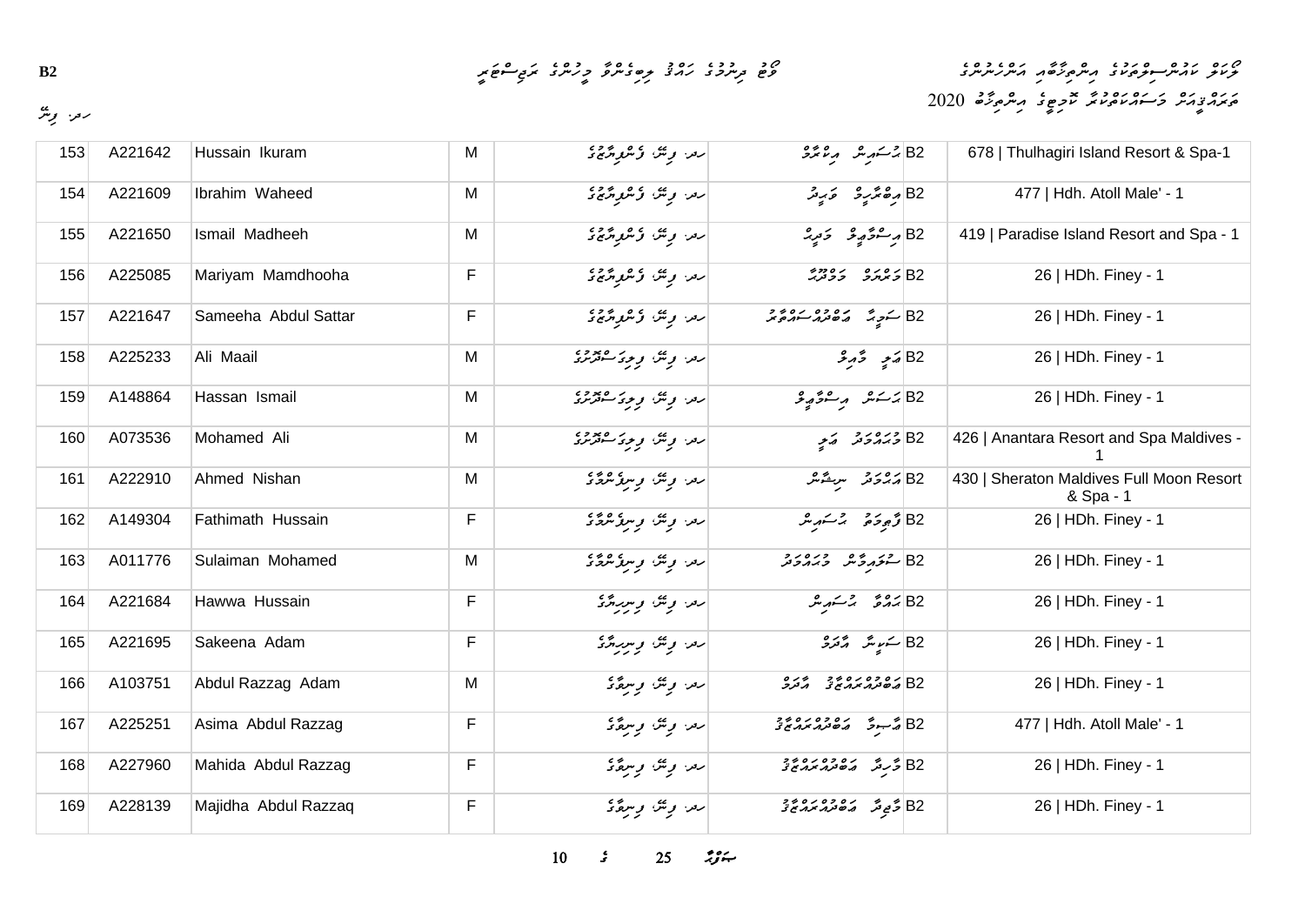*sCw7q7s5w7m< o<n9nOoAw7o< sCq;mAwBoEw7q<m; wBm;vB* م من المرة المرة المرة المرجع المرجع في المركبة 2020<br>مجم*د المريض المربوط المربع المرجع في المراجع المركبة* 

| 153 | A221642 | Hussain Ikuram       | M           | رىر. وېش ۋىتروپىرى         | B2  يرسكو مراكبرد                            | 678   Thulhagiri Island Resort & Spa-1                |
|-----|---------|----------------------|-------------|----------------------------|----------------------------------------------|-------------------------------------------------------|
| 154 | A221609 | Ibrahim Waheed       | M           | رىر. وېش ۋىتروپىرى         | B2 مەھم <i>گىر</i> ۇ كەيرى <i>گ</i>          | 477   Hdh. Atoll Male' - 1                            |
| 155 | A221650 | Ismail Madheeh       | M           | رمر ویژه ویژه وه           | B2 مِرْ مُعَرَّمٍ مُحَ مَرِيْرِ \$           | 419   Paradise Island Resort and Spa - 1              |
| 156 | A225085 | Mariyam Mamdhooha    | $\mathsf F$ | رىر. وېش ۋىترومىرى         | B2 كەندى بەھ بەر يەر ئە                      | 26   HDh. Finey - 1                                   |
| 157 | A221647 | Sameeha Abdul Sattar | F           | رىدا بويىش كۆيىتى ئەدە     | B2 كوير مەھەرەم دە                           | 26   HDh. Finey - 1                                   |
| 158 | A225233 | Ali Maail            | M           | رو. ویک وجه کشوره بود و    | B2 كەي ئۇم <i>ب</i> ۇ                        | 26   HDh. Finey - 1                                   |
| 159 | A148864 | Hassan Ismail        | M           | رد. ویک و وی کودی          | B2  كەسكەر مەس <i>گەر</i> ىجە                | 26   HDh. Finey - 1                                   |
| 160 | A073536 | Mohamed Ali          | M           | رفدا ويكل ولوى مقومون      | B2 دېم دېمر کمکم                             | 426   Anantara Resort and Spa Maldives -              |
| 161 | A222910 | Ahmed Nishan         | M           | رمرا وتكل وسوعوهم          | B2 كەبروتر سىشەمىر                           | 430   Sheraton Maldives Full Moon Resort<br>& Spa - 1 |
| 162 | A149304 | Fathimath Hussain    | F           | رىر. وېش وسرومرگرو         | B2 <i>وَجِوحَةْ بِرْسَهِي</i> تْر            | 26   HDh. Finey - 1                                   |
| 163 | A011776 | Sulaiman Mohamed     | M           | رمرا وتثنا وسروعية         | B2 جۇمۇھە ئەمەدىر                            | 26   HDh. Finey - 1                                   |
| 164 | A221684 | Hawwa Hussain        | F           | رمزا وِ مَنْ وِسِرِ پُرُوُ | B2 جَهْرَةَ جُسَمَ سَرَّبَ                   | 26   HDh. Finey - 1                                   |
| 165 | A221695 | Sakeena Adam         | $\mathsf F$ | رمزا ونثن وسيدادي          | B2 سەمبەشقە ئەممەدىجە                        | 26   HDh. Finey - 1                                   |
| 166 | A103751 | Abdul Razzag Adam    | M           | رمزا ويش وسرة كا           | B2 24010304 B2                               | 26   HDh. Finey - 1                                   |
| 167 | A225251 | Asima Abdul Razzag   | $\mathsf F$ | رمزا وِتَنَ وِسِرَةٌ وَ    | B2 گەسىر ئەھەرە مەدە يور                     | 477   Hdh. Atoll Male' - 1                            |
| 168 | A227960 | Mahida Abdul Razzag  | F           | رمزا وِتَنَ وِسِرَةٌ وَ    | B2 <i>ڈرنڈ הסינה אה</i> צ                    | 26   HDh. Finey - 1                                   |
| 169 | A228139 | Majidha Abdul Razzaq | $\mathsf F$ | رمرا وتثن وسرة كا          | B2 <i>دُّې تُرَ</i> مَص <i>ْدِم بَرم پ</i> ر | 26   HDh. Finey - 1                                   |

 $10$  *s*  $25$  *n***<sub>s</sub>**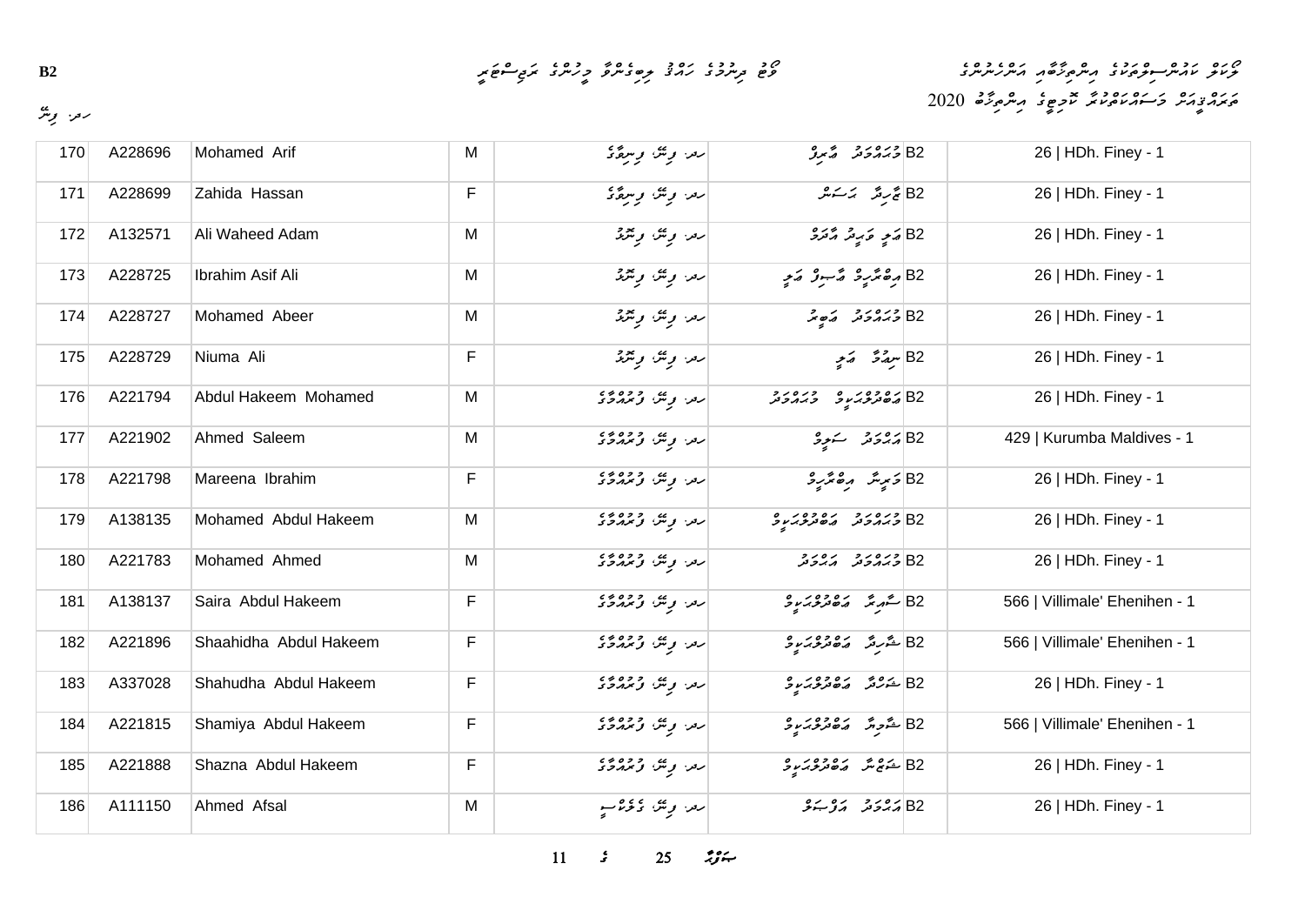*sCw7q7s5w7m< o<n9nOoAw7o< sCq;mAwBoEw7q<m; wBm;vB* م من المرة المرة المرة المرجع المرجع في المركبة 2020<br>مجم*د المريض المربوط المربع المرجع في المراجع المركبة* 

| 170 | A228696 | Mohamed Arif           | M           | رد. ویش وسرهٔ کا           | B2   32,25 كم مركز                         | 26   HDh. Finey - 1           |
|-----|---------|------------------------|-------------|----------------------------|--------------------------------------------|-------------------------------|
| 171 | A228699 | Zahida Hassan          | F           | رمر ویش وسره ی             | B2 بج بریٹر کے شکس                         | 26   HDh. Finey - 1           |
| 172 | A132571 | Ali Waheed Adam        | M           | رمر. وِنَشَ وِنَتَرَةَ     | B2 <i>جَجِ وَبِي</i> تْر <i>مُ</i> تَرَدَّ | 26   HDh. Finey - 1           |
| 173 | A228725 | Ibrahim Asif Ali       | M           | رمر. وِ مَثَنٌ وَ مَرْكَزُ | B2 مەھ <i>ئۇر - ئۇ شى</i> ر ئۇ مۇم يە      | 26   HDh. Finey - 1           |
| 174 | A228727 | Mohamed Abeer          | M           | رمرا ويمثل ويتزلى          | B2 <i>جەڭگە جۇ مەھ</i>                     | 26   HDh. Finey - 1           |
| 175 | A228729 | Niuma Ali              | $\mathsf F$ | رمرا ويمثل ويترثى          | B2 س <i>مۃً 5 مَ</i> ی                     | 26   HDh. Finey - 1           |
| 176 | A221794 | Abdul Hakeem Mohamed   | M           | رى وش وەەپ                 | B2 בפינצגים כגביבי                         | 26   HDh. Finey - 1           |
| 177 | A221902 | Ahmed Saleem           | M           | رىن وش وەھمە               | B2 كەنزى كىم بەر ئىكتىم ئىككىنى ئىل        | 429   Kurumba Maldives - 1    |
| 178 | A221798 | Mareena Ibrahim        | F           | رى وش وەەپ                 | B2 ك <sup>ې</sup> رىنگە م <i>ەھتگى</i> دۇ. | 26   HDh. Finey - 1           |
| 179 | A138135 | Mohamed Abdul Hakeem   | M           | رىن وش ۋىرەپ،              | B2 درورو روووربرو                          | 26   HDh. Finey - 1           |
| 180 | A221783 | Mohamed Ahmed          | M           | رى وش وەەپ                 | B2 دره در بره دور                          | 26   HDh. Finey - 1           |
| 181 | A138137 | Saira Abdul Hakeem     | F           | رىن وېش ۋىزمەم             | B2 شهر پر مقدم دیگر دی                     | 566   Villimale' Ehenihen - 1 |
| 182 | A221896 | Shaahidha Abdul Hakeem | $\mathsf F$ | رىن وش ۋىرەپ،              | B2 څرنگ مەھىر <i>ومى</i> رو                | 566   Villimale' Ehenihen - 1 |
| 183 | A337028 | Shahudha Abdul Hakeem  | F           | رى وىش ۋىرمەت              | B2 خەرقر مەھىر <i>ومى</i> بو               | 26   HDh. Finey - 1           |
| 184 | A221815 | Shamiya Abdul Hakeem   | F           | رىن وش وەەپ                | B2 څومر مصر ده دريد                        | 566   Villimale' Ehenihen - 1 |
| 185 | A221888 | Shazna Abdul Hakeem    | $\mathsf F$ | رى وش وەەپ                 | B2 خى <i>ق شەھىرى بىرى</i>                 | 26   HDh. Finey - 1           |
| 186 | A111150 | Ahmed Afsal            | M           | رمز، ویکن کی کورا ہے       | B2 <i>ה جوھ پرو بہو</i>                    | 26   HDh. Finey - 1           |

 $11$  *s*  $25$   $25$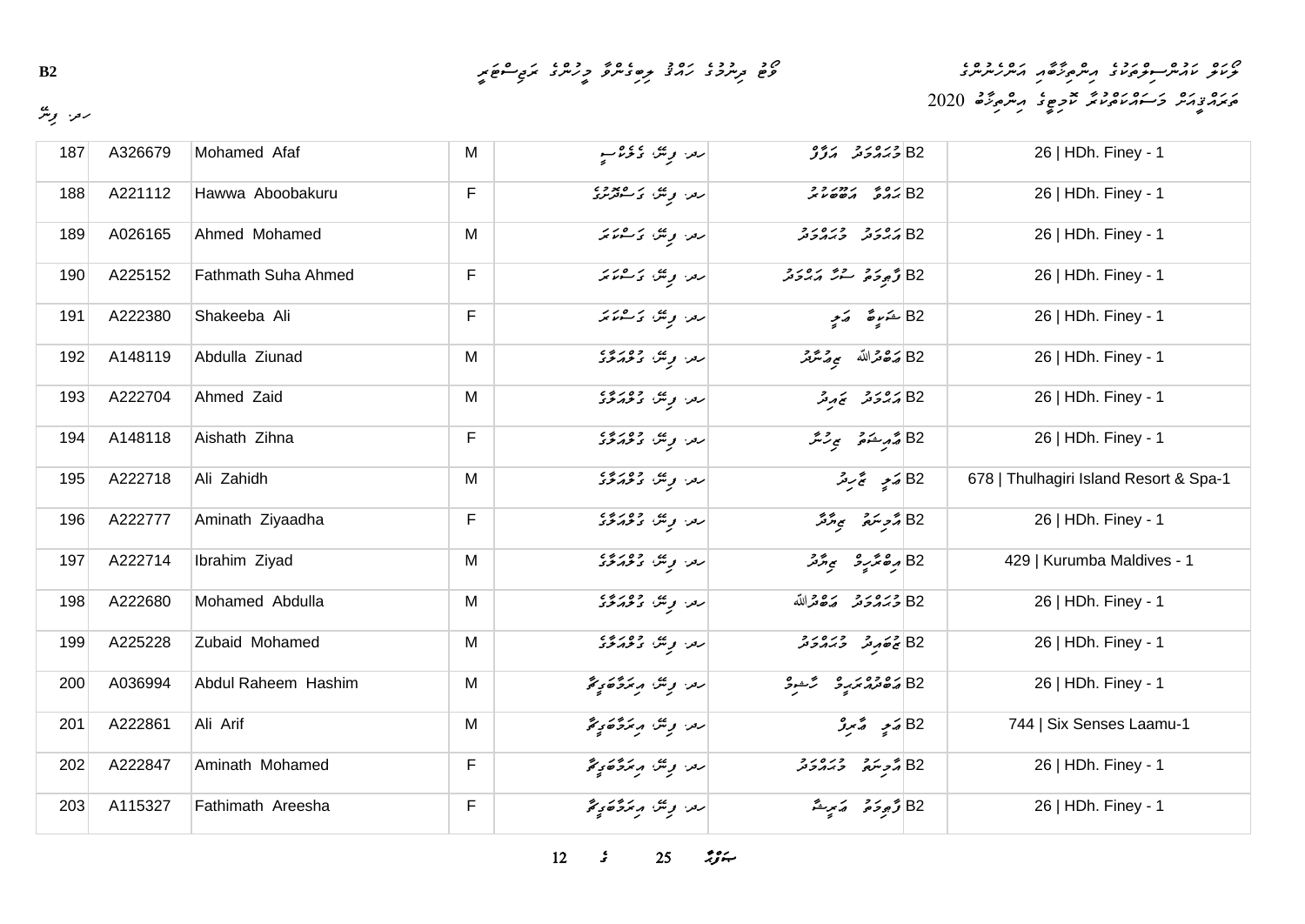*sCw7q7s5w7m< o<n9nOoAw7o< sCq;mAwBoEw7q<m; wBm;vB* م من المرة المرة المرة المرجع المرجع في المركبة 2020<br>مجم*د المريض المربوط المربع المرجع في المراجع المركبة* 

| 187 | A326679 | Mohamed Afaf               | M | رىر.   و ئىش   ئا ئۇراسىيە | B2 <i>جەنگە خەرقۇ</i>                        | 26   HDh. Finey - 1                    |
|-----|---------|----------------------------|---|----------------------------|----------------------------------------------|----------------------------------------|
| 188 | A221112 | Hawwa Aboobakuru           | F | ریں ۔ ویش کے سے مرد ہ      | $22222$ $202$                                | 26   HDh. Finey - 1                    |
| 189 | A026165 | Ahmed Mohamed              | M | رەر، بەنتى، ئەسىملەتت      | B2 ג'ליב בגם בי                              | 26   HDh. Finey - 1                    |
| 190 | A225152 | <b>Fathmath Suha Ahmed</b> | F | رىما المرتش كالسمائك       | B2 رُجوحَ ۾ ڪَٽُ مُکومَر                     | 26   HDh. Finey - 1                    |
| 191 | A222380 | Shakeeba Ali               | F | رەر كەنتى كەسىمىتىك        | B2 ش <i>ەرى</i> مەم                          | 26   HDh. Finey - 1                    |
| 192 | A148119 | Abdulla Ziunad             | M | رى وش دەرە،                | B2 كەھەتراللە   سى ھەمترىتر                  | 26   HDh. Finey - 1                    |
| 193 | A222704 | Ahmed Zaid                 | M | رى وتى دەردە               | B2 كەندى كىم ئىقرىتىلىكى ئىقرات              | 26   HDh. Finey - 1                    |
| 194 | A148118 | Aishath Zihna              | F | رى وتى دەردە               | B2 م <i>ەم ھەم بىم جى</i> گە                 | 26   HDh. Finey - 1                    |
| 195 | A222718 | Ali Zahidh                 | M | رى وتى دەردە،              | B2 <i>ھَ جِ</i> گُرِ مَحْ                    | 678   Thulhagiri Island Resort & Spa-1 |
| 196 | A222777 | Aminath Ziyaadha           | F | رى و ش دەرە ،              |                                              | 26   HDh. Finey - 1                    |
| 197 | A222714 | Ibrahim Ziyad              | M | رى وتى دەردە               | B2 م <i>وھنگرد</i> و س <sub>م</sub> وٹر      | 429   Kurumba Maldives - 1             |
| 198 | A222680 | Mohamed Abdulla            | M | رى و ش دەرە ،              | B2 ديره دين مركات الله                       | 26   HDh. Finey - 1                    |
| 199 | A225228 | Zubaid Mohamed             | M | رى وتى دەردە               | B2 <i>המקיל בגמכת</i>                        | 26   HDh. Finey - 1                    |
| 200 | A036994 | Abdul Raheem Hashim        | M | رىر. وتىش مەنگە ئەنگە      | B2 <i>مُەھەرمُ مَرىدۇ گەش</i> ۇ              | 26   HDh. Finey - 1                    |
| 201 | A222861 | Ali Arif                   | M | رىن وپى مەنگەھ ئەنگە       | B2 <i>جَ</i> يْحِ حَمْ مِرْدْ                | 744   Six Senses Laamu-1               |
| 202 | A222847 | Aminath Mohamed            | F | رىن وتى مەنگە ئەنگە        | B2 مُوسَمَعُ وَيَرْمُدُونَر                  | 26   HDh. Finey - 1                    |
| 203 | A115327 | Fathimath Areesha          | F | رىن وېئن مەنگەھ ئەلگى      | B2 ژ <sub>ېم</sub> وکا تر کمپ <sup>ر</sup> گ | 26   HDh. Finey - 1                    |

 $12$  *s*  $25$  *n***<sub>s</sub>**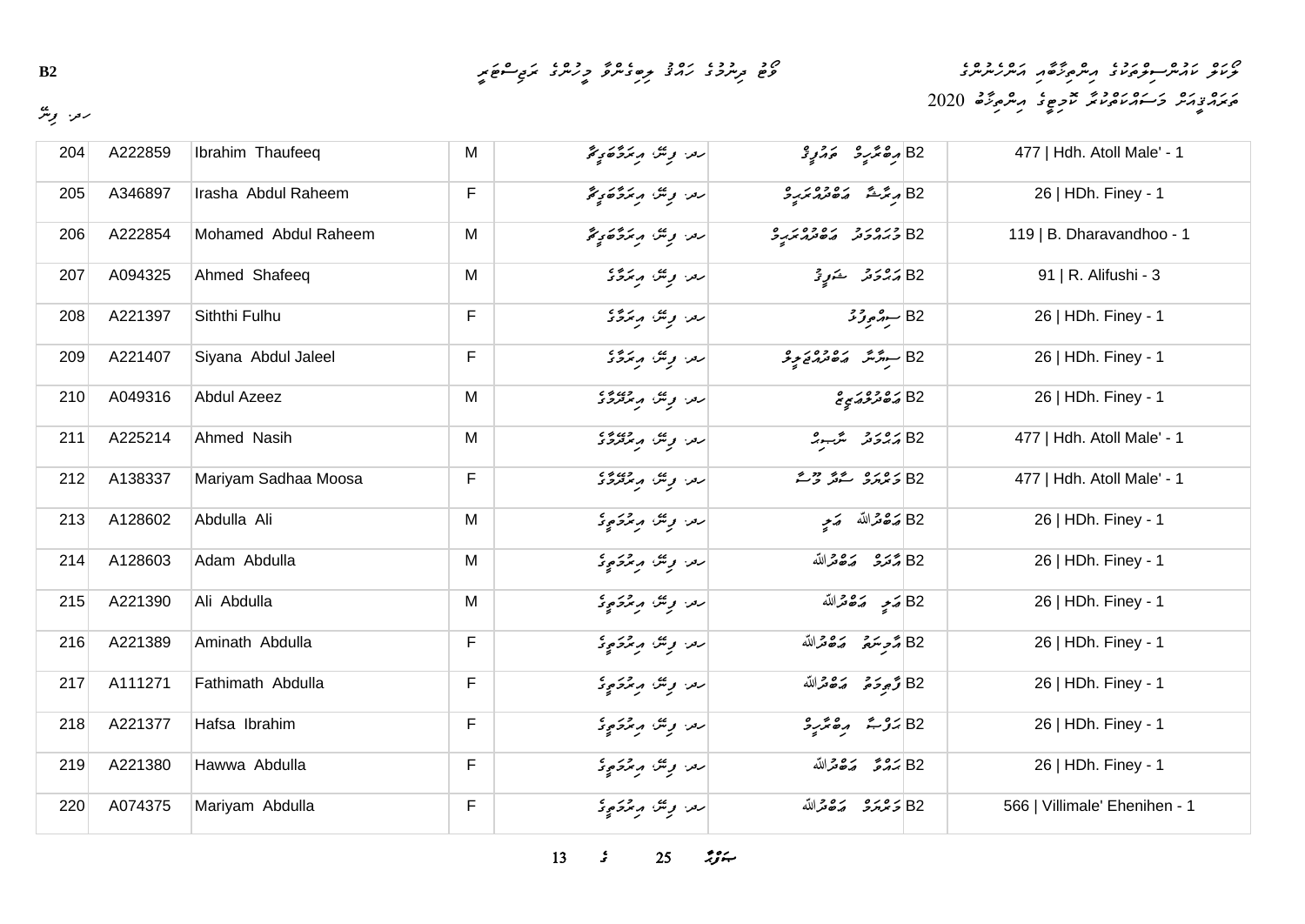*sCw7q7s5w7m< o<n9nOoAw7o< sCq;mAwBoEw7q<m; wBm;vB* م من المرة المرة المرة المرجع المرجع في المركبة 2020<br>مجم*د المريض المربوط المربع المرجع في المراجع المركبة* 

| 204 | A222859 | Ibrahim Thaufeeq     | M           | رىر. وتىش مەنگە ئەنگە  | B2 مەھەرىپە ھەمرىي                       | 477   Hdh. Atoll Male' - 1    |
|-----|---------|----------------------|-------------|------------------------|------------------------------------------|-------------------------------|
| 205 | A346897 | Irasha Abdul Raheem  | $\mathsf F$ | رىن وِ ئىن مەيمۇقەي ئۇ | B2 مرتزئے مقصد <i>مرتدب</i> و            | 26   HDh. Finey - 1           |
| 206 | A222854 | Mohamed Abdul Raheem | M           | رىن وېش مەترقە ئەلق    | B2 32020 2020 B2                         | 119   B. Dharavandhoo - 1     |
| 207 | A094325 | Ahmed Shafeeq        | M           | رمزا ویش مرتزوی        | B2 <i>252.2 ڪو</i> ِ ت                   | 91   R. Alifushi - 3          |
| 208 | A221397 | Siththi Fulhu        | $\mathsf F$ | رمه ویش متروی          | B2 سوچرىرى تى                            | 26   HDh. Finey - 1           |
| 209 | A221407 | Siyana Abdul Jaleel  | $\mathsf F$ | رمز ویش متروی          | B2 سەئەتر مەھەرمەت <sub>ى م</sub> و      | 26   HDh. Finey - 1           |
| 210 | A049316 | <b>Abdul Azeez</b>   | M           | رى وېش پر پرورو .      | B2 پرەۋەپرىي<br>82 يى <i>ڭ قىرىۋەپرى</i> | 26   HDh. Finey - 1           |
| 211 | A225214 | Ahmed Nasih          | M           | رمن ویکن مقرمتروی      | B2 <i>مەدە</i> ر شەر                     | 477   Hdh. Atoll Male' - 1    |
| 212 | A138337 | Mariyam Sadhaa Moosa | F           | رور ویش پر پژوروی      | B2 كەنگەر ئەمەر تۇرىخ                    | 477   Hdh. Atoll Male' - 1    |
| 213 | A128602 | Abdulla Ali          | M           | رمر وتكن مرتزكرة       | B2 مَەھمَّدَاللە مَەمِ                   | 26   HDh. Finey - 1           |
| 214 | A128603 | Adam Abdulla         | M           | رىن وپش مەنگەم ئ       | B2 مُعَرَّقِ مَصْحَداللَّه               | 26   HDh. Finey - 1           |
| 215 | A221390 | Ali Abdulla          | M           | رىن وېش مەنگەم ئ       | B2 صَعِي <i>ٰ صَ®مَّد</i> اللَّه         | 26   HDh. Finey - 1           |
| 216 | A221389 | Aminath Abdulla      | $\mathsf F$ | رىن وېش مەنگەم ئ       | B2 مُحْرِسَمَةً مَصْحَدَاللّه            | 26   HDh. Finey - 1           |
| 217 | A111271 | Fathimath Abdulla    | F           | رمه ویکن مرتزکا و ع    | B2 وَجِوَة صَدَّة مَدَاللَّه             | 26   HDh. Finey - 1           |
| 218 | A221377 | Hafsa Ibrahim        | $\mathsf F$ | رمر ویک مرتزکا و ع     | B2 ئەبۇب مەھەر ئەر                       | 26   HDh. Finey - 1           |
| 219 | A221380 | Hawwa Abdulla        | F           | رمر وتكن مرتزكموتى     | B2 بَرْمُوْ بَرَصْعَرْاللّهِ             | 26   HDh. Finey - 1           |
| 220 | A074375 | Mariyam Abdulla      | F           | رىن وېش مەنگەم ئ       | B2 <i>وَمُعْهُرْ وَهُ</i> قَرَاللَّهُ    | 566   Villimale' Ehenihen - 1 |

 $13$  *s*  $25$  *n***<sub>i</sub>** *n***<sub>i</sub>**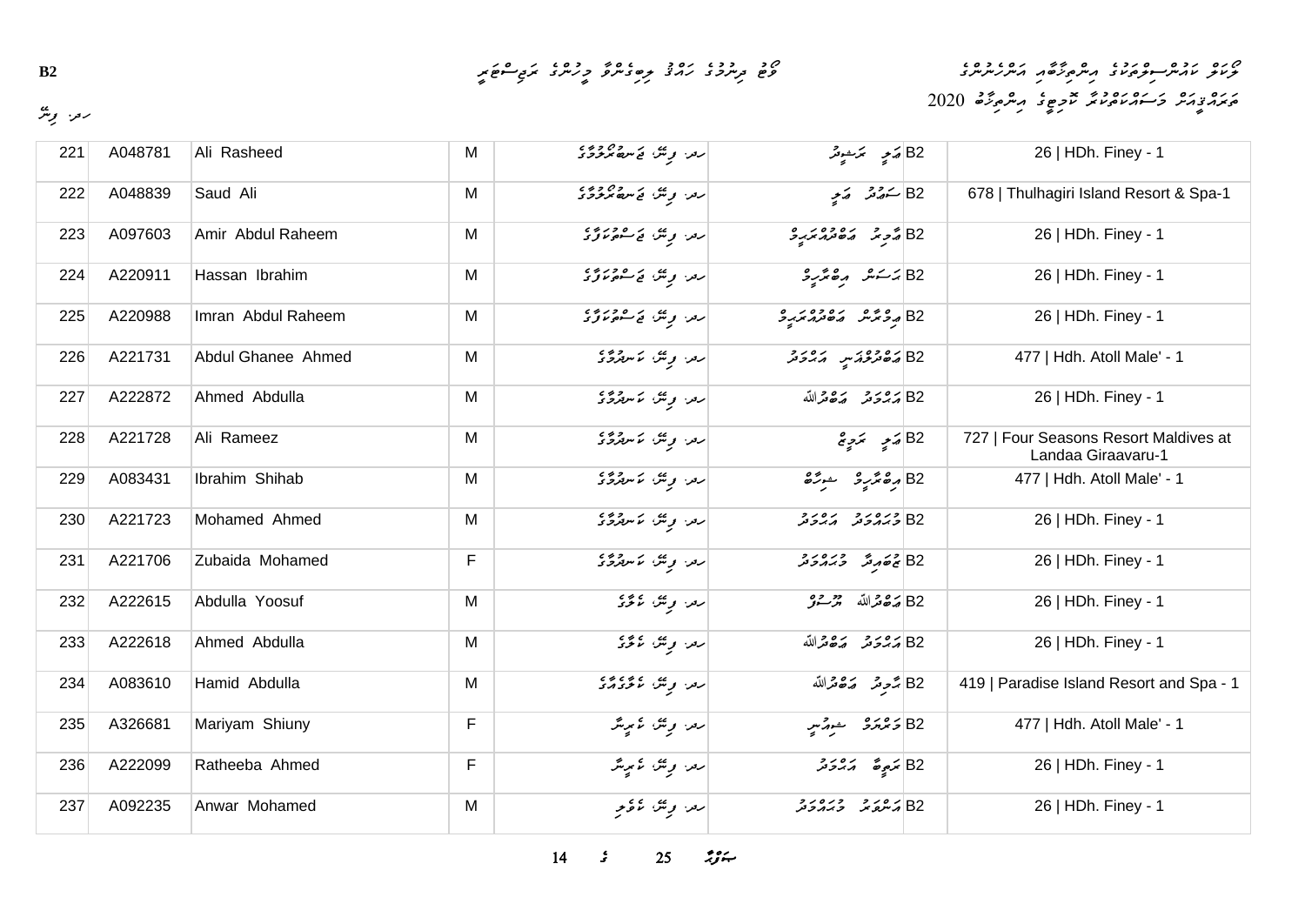*sCw7q7s5w7m< o<n9nOoAw7o< sCq;mAwBoEw7q<m; wBm;vB* م من المرة المرة المرة المرجع المرجع في المركبة 2020<br>مجم*د المريض المربوط المربع المرجع في المراجع المركبة* 

| 221 | A048781 | Ali Rasheed        | M | ردر و ش کے سے برو و د ،      | B2   <i>مَ</i> حٍ - مَرْشِوْمٌ                | 26   HDh. Finey - 1                                         |
|-----|---------|--------------------|---|------------------------------|-----------------------------------------------|-------------------------------------------------------------|
| 222 | A048839 | Saud Ali           | M | رور، ویکی کے سرچ بر وہ ہ     | B2 سَمَ <i>دُوْ مَ</i> عِ                     | 678   Thulhagiri Island Resort & Spa-1                      |
| 223 | A097603 | Amir Abdul Raheem  | M | ردر ویش کے سعوم ور           | B2 مُجرِّس مُصْرِمْ مُرْمِرِ وَ               | 26   HDh. Finey - 1                                         |
| 224 | A220911 | Hassan Ibrahim     | M | رور ویش کے سعوم ور           | B2 ئەسەمىر مەھ <i>مەر</i> بى                  | 26   HDh. Finey - 1                                         |
| 225 | A220988 | Imran Abdul Raheem | M | ردر ویژ، در ۱۶۵۵ ور          | B2 مەئەم مەمەم <i>كى</i> رە                   | 26   HDh. Finey - 1                                         |
| 226 | A221731 | Abdul Ghanee Ahmed | M | رى وتى ئەسەدە ،              | B2 בכבל ביק היכנק                             | 477   Hdh. Atoll Male' - 1                                  |
| 227 | A222872 | Ahmed Abdulla      | M | رى وتى ئەسەدە ،              | B2 مَرْكَرَ مَنْ مَدَّاللَّهُ                 | 26   HDh. Finey - 1                                         |
| 228 | A221728 | Ali Rameez         | M | رىن بوش ئەس دەپ              | B2  رَ <sub>ّحِي</sub> بَرَ <sub>حِي</sub> حُ | 727   Four Seasons Resort Maldives at<br>Landaa Giraavaru-1 |
| 229 | A083431 | Ibrahim Shihab     | M | رىن بوش ئەس دەپ              | B2 مەھم <i>گرى</i> ھەرمە                      | 477   Hdh. Atoll Male' - 1                                  |
| 230 | A221723 | Mohamed Ahmed      | M | رى وتى ئەسەدە ،              | B2 ديره ده بره دو                             | 26   HDh. Finey - 1                                         |
| 231 | A221706 | Zubaida Mohamed    | F | رىر. وېش ئەس دەپ             | B2 <i>בْסَתְית בְּגֹתְכ</i> ּנ <i>ּ</i>       | 26   HDh. Finey - 1                                         |
| 232 | A222615 | Abdulla Yoosuf     | M | رى وىش ئامۇي                 | B2 مَرْدَّقْدِ اللَّهُ مَرْتَّمَوْ            | 26   HDh. Finey - 1                                         |
| 233 | A222618 | Ahmed Abdulla      | M | رى وىش ئامۇي                 | B2 مَرْكَرَ مَنْ مَدَّاللَّهُ                 | 26   HDh. Finey - 1                                         |
| 234 | A083610 | Hamid Abdulla      | M | رىر. ب <sub>و</sub> ش ئىقىمى | B2 بَرْحِ مِرْ مَرْحَمْدَاللّه                | 419   Paradise Island Resort and Spa - 1                    |
| 235 | A326681 | Mariyam Shiuny     | F | ریں ویش کامیڈ                | B2  <i>ويرودة</i> شورمبر                      | 477   Hdh. Atoll Male' - 1                                  |
| 236 | A222099 | Ratheeba Ahmed     | F | ریں ویکن کامیکر              |                                               | 26   HDh. Finey - 1                                         |
| 237 | A092235 | Anwar Mohamed      | M | رمزا ويتنا الأقرمي           | B2 كەنبور بورەرد                              | 26   HDh. Finey - 1                                         |

 $14$  *s*  $25$   $25$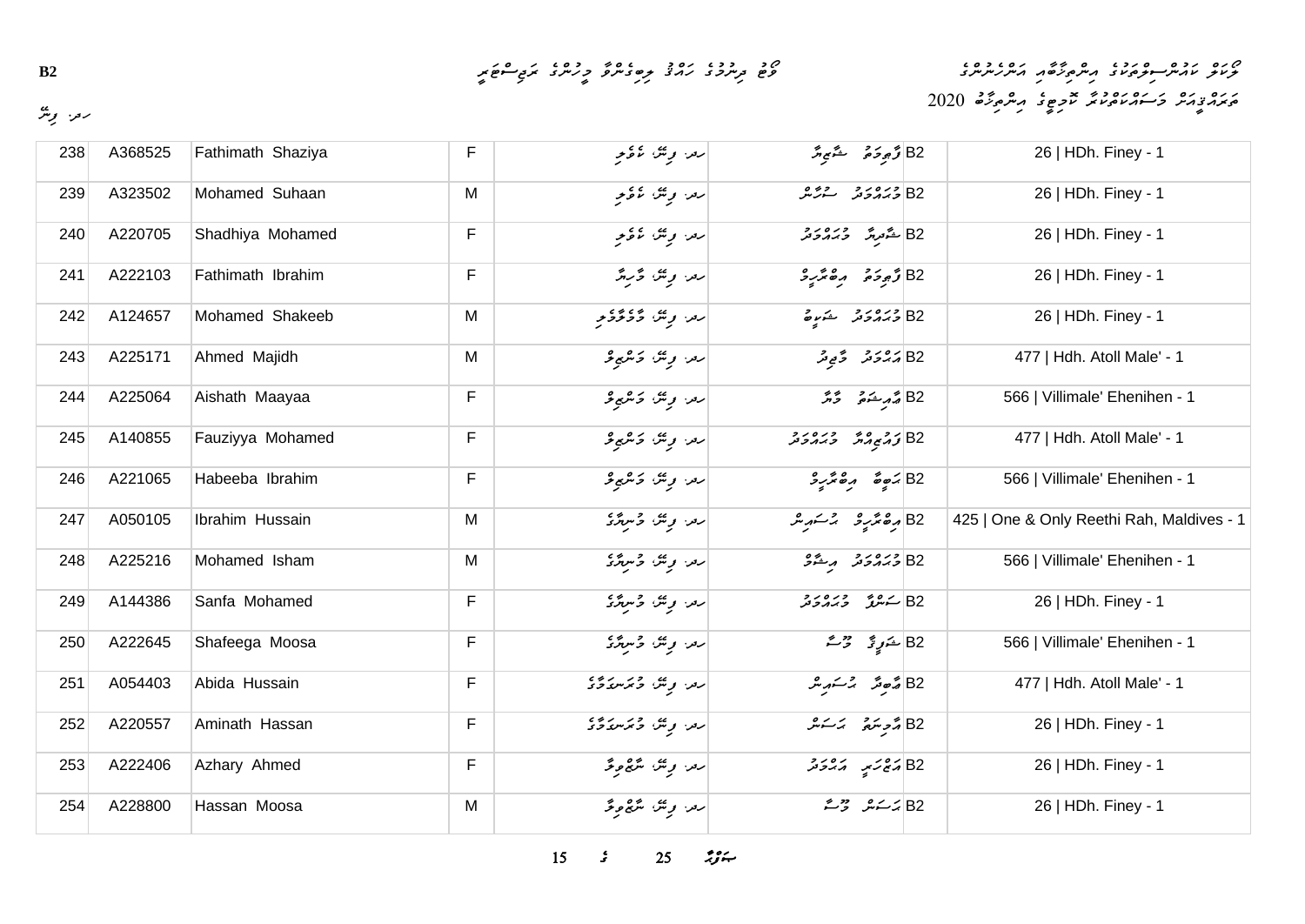*sCw7q7s5w7m< o<n9nOoAw7o< sCq;mAwBoEw7q<m; wBm;vB* م من المرة المرة المرة المرجع المرجع في المركبة 2020<br>مجم*د المريض المربوط المربع المرجع في المراجع المركبة* 

| 238 | A368525 | Fathimath Shaziya | F            | رمزا ويمكا الأقرمي      | B2  <i>وَّهِ دَهُ</i> شَمِيرٌ      | 26   HDh. Finey - 1                       |
|-----|---------|-------------------|--------------|-------------------------|------------------------------------|-------------------------------------------|
| 239 | A323502 | Mohamed Suhaan    | M            | رمزا ويتنا الأقرمي      | B2 <i>دېم دون</i> ر سرمبر          | 26   HDh. Finey - 1                       |
| 240 | A220705 | Shadhiya Mohamed  | $\mathsf F$  | رمزا ويتن الأقرمي       | B2 ش <i>ەربۇ جەم</i> ەرىر          | 26   HDh. Finey - 1                       |
| 241 | A222103 | Fathimath Ibrahim | $\mathsf F$  | رىن ۋىتن ۋرېژ           | B2 زُوچوَ مِرْه مُرْبِرْ           | 26   HDh. Finey - 1                       |
| 242 | A124657 | Mohamed Shakeeb   | M            | رىر. وېئن ئۇنى ئۇي      | B2 <i>جەممى ھىرە</i>               | 26   HDh. Finey - 1                       |
| 243 | A225171 | Ahmed Majidh      | M            | رىن كۆش كەنگى بى        | B2 كەنزى قىم قى                    | 477   Hdh. Atoll Male' - 1                |
| 244 | A225064 | Aishath Maayaa    | $\mathsf F$  | رىن ۋىش كەشپىر ئ        | B2 م <i>ەم شەقى ئى</i> گە          | 566   Villimale' Ehenihen - 1             |
| 245 | A140855 | Fauziyya Mohamed  | $\mathsf F$  | رىن بېش كەشپى           | B2 زَرَم مِرْشَ حَدَمَدَ مَرَ      | 477   Hdh. Atoll Male' - 1                |
| 246 | A221065 | Habeeba Ibrahim   | $\mathsf F$  | رىن بوش كەشپى ئى        | B2 بَصِرَةً مِصْرَّرِدً            | 566   Villimale' Ehenihen - 1             |
| 247 | A050105 | Ibrahim Hussain   | M            | رىر. وېش ۋىرىدى         | B2 مەھەرىرى بىر شەمبەتلە           | 425   One & Only Reethi Rah, Maldives - 1 |
| 248 | A225216 | Mohamed Isham     | M            | رىن وېش ۋىيرومى         | B2 <i>جەممى ھىشى</i>               | 566   Villimale' Ehenihen - 1             |
| 249 | A144386 | Sanfa Mohamed     | F            | رىر. وېش ۋىرومى         | B2 سەئىر ئەمدە ئىر                 | 26   HDh. Finey - 1                       |
| 250 | A222645 | Shafeega Moosa    | $\mathsf F$  | رىر. وېش ۋىرمۇي         | B2 ڪريڙ تر <sup>م</sup> گ          | 566   Villimale' Ehenihen - 1             |
| 251 | A054403 | Abida Hussain     | $\mathsf F$  | رى وىگە دىمەردە ،       | B2 مُتَّصِمٌ بِرْسَمَ <i>رِيمْ</i> | 477   Hdh. Atoll Male' - 1                |
| 252 | A220557 | Aminath Hassan    | $\mathsf{F}$ | رى وتكل كالممس كالمحالي | B2 مُ <i>جِسَمْہ</i> بَرَسَسْ      | 26   HDh. Finey - 1                       |
| 253 | A222406 | Azhary Ahmed      | F            | رىر. وېش سىۋە ئ         | B2 <i>השית ההכנר</i>               | 26   HDh. Finey - 1                       |
| 254 | A228800 | Hassan Moosa      | M            | رىر. وېش سرچ ئوگ        | B2  يرسكر وحرثة                    | 26   HDh. Finey - 1                       |

 $15$  *s*  $25$  *n***<sub>i</sub>** *n***<sub>i</sub>**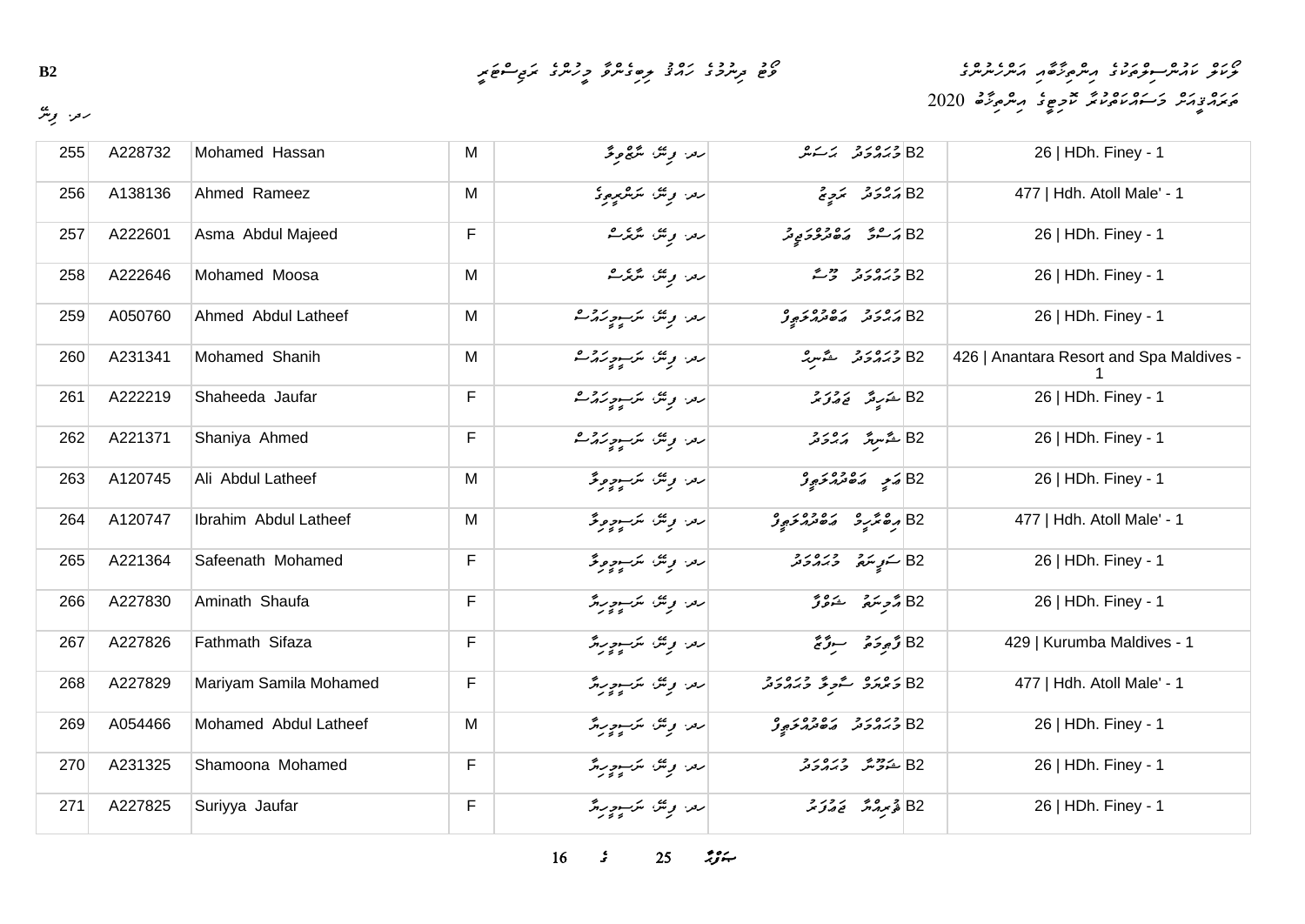*sCw7q7s5w7m< o<n9nOoAw7o< sCq;mAwBoEw7q<m; wBm;vB* م من المرة المرة المرة المرجع المرجع في المركبة 2020<br>مجم*د المريض المربوط المربع المرجع في المراجع المركبة* 

| 255 | A228732 | Mohamed Hassan         | M           | رىر. وېش سرچ ئوگ          | B2 <i>32823 بركتيل</i>                       | 26   HDh. Finey - 1                      |
|-----|---------|------------------------|-------------|---------------------------|----------------------------------------------|------------------------------------------|
| 256 | A138136 | Ahmed Rameez           | M           | رىن ۋېش سەسىرە ئ          | B2   <i>دَ بْدُو بْنْ بْرُوِيْ</i>           | 477   Hdh. Atoll Male' - 1               |
| 257 | A222601 | Asma Abdul Majeed      | F           | رەر، بويىش، ئىگەنگە       | B2 كەشىۋە بەھ <i>قەرىۋە ي</i> وتر            | 26   HDh. Finey - 1                      |
| 258 | A222646 | Mohamed Moosa          | M           | رىر. وېش ئىرىمىشە         | B2 دېم ديگر تر شگر                           | 26   HDh. Finey - 1                      |
| 259 | A050760 | Ahmed Abdul Latheef    | M           | رىر. وېش ئىزىسوپەرچەك     | B2 ג' פי כ" גם כסי, פ                        | 26   HDh. Finey - 1                      |
| 260 | A231341 | Mohamed Shanih         | M           | رىر. وېش ئىزىسوچەرچەك     | B2 <i>وَيَدْوَدُو</i> سُدَّسِ <i>رُ</i>      | 426   Anantara Resort and Spa Maldives - |
| 261 | A222219 | Shaheeda Jaufar        | F           | رىر. وېش ئىزىسوچەرچەك     | B2 حَدَرٍ مَرَّ مَدَوَ مَرَّ –               | 26   HDh. Finey - 1                      |
| 262 | A221371 | Shaniya Ahmed          | $\mathsf F$ | رىر. وېش ئىزىسوچەرچەك     | B2 شَمْسِهُ 42 دَرْدَ قَر                    | 26   HDh. Finey - 1                      |
| 263 | A120745 | Ali Abdul Latheef      | M           | رىر. وىش سەسىر ھەقتى      | B2 <i>جَجِدٍ حَ</i> ص <i>ُومِ حَبِّوِ وَ</i> | 26   HDh. Finey - 1                      |
| 264 | A120747 | Ibrahim Abdul Latheef  | M           | أرفرا أوتكل الكرسوج وتخر  | B2 مەھمەدىر ھەمدىر مورى                      | 477   Hdh. Atoll Male' - 1               |
| 265 | A221364 | Safeenath Mohamed      | F           | رە. دەش سەسەم بۇ          | B2  سەرپەتىھ ت <i>ەشەھ</i> ەتە               | 26   HDh. Finey - 1                      |
| 266 | A227830 | Aminath Shaufa         | F           | رفرا وتكل الكرسولية والمح | B2 مُجِسَمَة شَوْرٌ                          | 26   HDh. Finey - 1                      |
| 267 | A227826 | Fathmath Sifaza        | F           | رەر، ۋېش سەسىرەرىد        | B2 تَ <i>جوحَمْ سِوَتَّ</i>                  | 429   Kurumba Maldives - 1               |
| 268 | A227829 | Mariyam Samila Mohamed | F           | رىر. وېش سرگىيە پەرلە     | B2 <i>ويمهو مشوقة وب</i> روير                | 477   Hdh. Atoll Male' - 1               |
| 269 | A054466 | Mohamed Abdul Latheef  | M           | رو. ویک مکرسور برگ        | B2 دره در ده ده در ه                         | 26   HDh. Finey - 1                      |
| 270 | A231325 | Shamoona Mohamed       | F           | رە، ۋېڭ ئەسورىد           | B2 شەخرىم مەدەرە                             | 26   HDh. Finey - 1                      |
| 271 | A227825 | Suriyya Jaufar         | F           | ریں ویکن انگر سور بارگر   | B2 <i>فومبرمگر فے ماؤن</i> مر                | 26   HDh. Finey - 1                      |

 $16$  *s*  $25$  *z*  $25$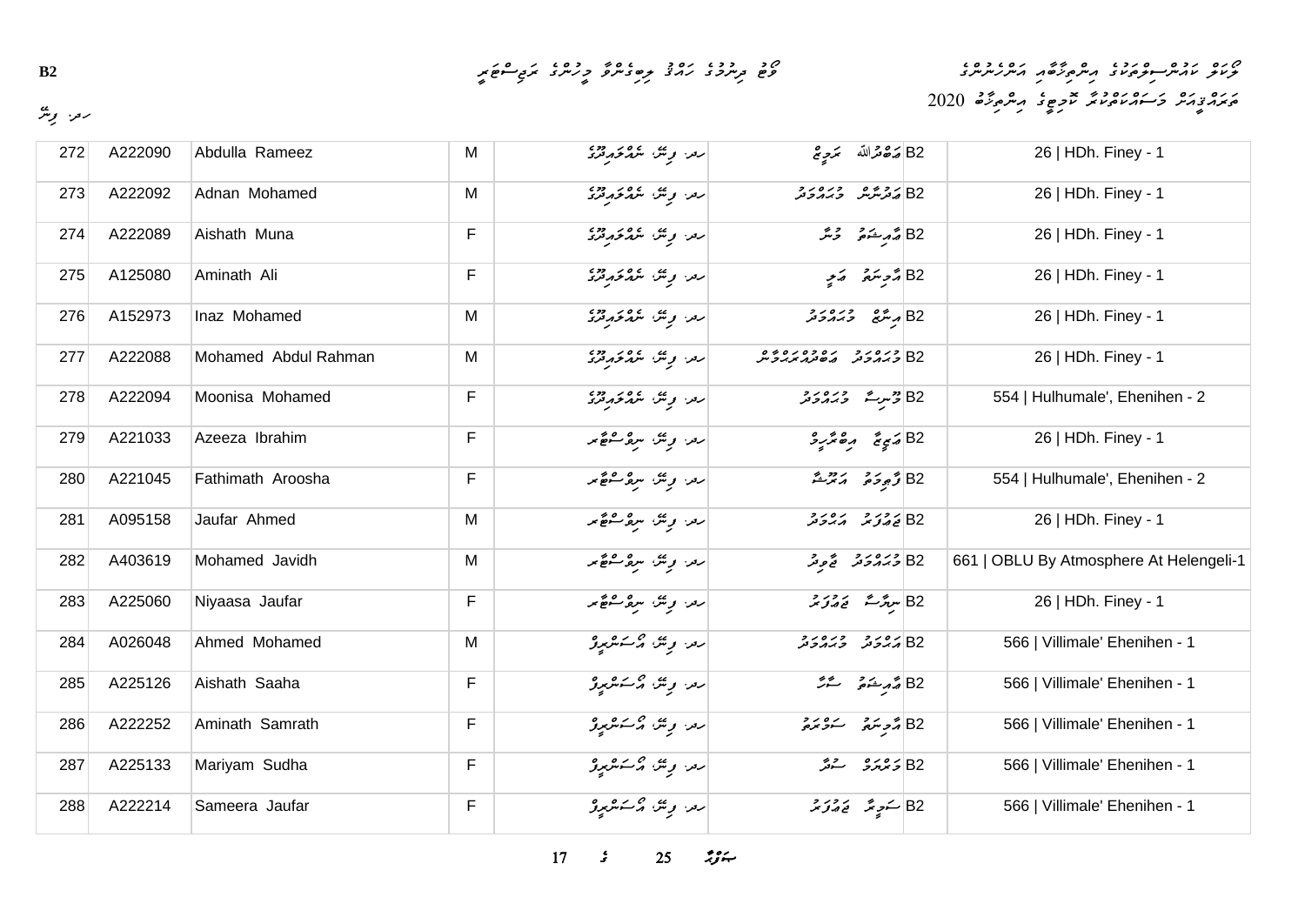*sCw7q7s5w7m< o<n9nOoAw7o< sCq;mAwBoEw7q<m; wBm;vB* م من المرة المرة المرة المرجع المرجع في المركبة 2020<br>مجم*د المريض المربوط المربع المرجع في المراجع المركبة* 

| 272 | A222090 | Abdulla Rameez       | M           | رىر. وېش شەھەردە                | B2 مَەھەراللە مَرَىبى                      | 26   HDh. Finey - 1                     |
|-----|---------|----------------------|-------------|---------------------------------|--------------------------------------------|-----------------------------------------|
| 273 | A222092 | Adnan Mohamed        | M           | رىر. وېش شەھەردە                | B2 كەنترىترىتر بەردەرد                     | 26   HDh. Finey - 1                     |
| 274 | A222089 | Aishath Muna         | $\mathsf F$ | رىر. وېش شەكەر دە ،             | B2 م <i>ەم شەھ</i> ەر قىگر                 | 26   HDh. Finey - 1                     |
| 275 | A125080 | Aminath Ali          | $\mathsf F$ | رىر. <sub>ئې</sub> ش شمەخمەتىرى | B2 مُجِسَعُہُ      مَجِبِ                  | 26   HDh. Finey - 1                     |
| 276 | A152973 | Inaz Mohamed         | M           | رىر. وېش شمەخەم دە ،            | B2 مِتَّرَجْ حَمَدَ مَعْرَفَرْ             | 26   HDh. Finey - 1                     |
| 277 | A222088 | Mohamed Abdul Rahman | M           | رى وېش شمە 2015 دە              | B2 ديرورو دي دوروويو                       | 26   HDh. Finey - 1                     |
| 278 | A222094 | Moonisa Mohamed      | F           | رىر. وېش شەكەردى                | B2 تۆسرىگە ئەمەد تەر                       | 554   Hulhumale', Ehenihen - 2          |
| 279 | A221033 | Azeeza Ibrahim       | $\mathsf F$ | رىر. وېش سرەك مۇم               | B2 <i>مَيِّ جَمْ م</i> ِ صَمَّرِ حَ        | 26   HDh. Finey - 1                     |
| 280 | A221045 | Fathimath Aroosha    | F           | رىر. وېش سرەكتەھىر              | B2 رَّجْوِحَةَ مَعْرَشَةَ                  | 554   Hulhumale', Ehenihen - 2          |
| 281 | A095158 | Jaufar Ahmed         | M           | رىر. بولىش سرەك ھۇسر            | B2 يَ <i>جەدْ بَد مەردى</i> ر              | 26   HDh. Finey - 1                     |
| 282 | A403619 | Mohamed Javidh       | M           | رىر. وېش سرەك ھەم               | B2  <i>جُهُمُ جُوَمُ</i> = يُحْمِ مُرُ     | 661   OBLU By Atmosphere At Helengeli-1 |
| 283 | A225060 | Niyaasa Jaufar       | F           | رىر. وېش سرەك مۇم               | B2 سِرَمَتْہ مَح <b>دَ</b> وَيْتَہ         | 26   HDh. Finey - 1                     |
| 284 | A026048 | Ahmed Mohamed        | M           | رىن بوش كەستەھرىرى              | B2 ביבר כנסני                              | 566   Villimale' Ehenihen - 1           |
| 285 | A225126 | Aishath Saaha        | F           | رىر. وېش كەككەنلىرۇ             | B2 مەم ئىقتىمە ئىستىر                      | 566   Villimale' Ehenihen - 1           |
| 286 | A222252 | Aminath Samrath      | F           | رىن وېش كەسكىرىدۇ               | B2 مُ <i>جِي مَدَّةِ مُسَاحِرْ مَدَّةٍ</i> | 566   Villimale' Ehenihen - 1           |
| 287 | A225133 | Mariyam Sudha        | F           | رىن وېش كەسكىلگىرى              | B2 كەبە <i>بەدە</i> سەم <i>ى</i> ر         | 566   Villimale' Ehenihen - 1           |
| 288 | A222214 | Sameera Jaufar       | F           | رىر. وېش كەسكىلگىرى             | B2 سَمَ <i>دٍ پُرْ" وَيُرْتَرُ</i>         | 566   Villimale' Ehenihen - 1           |

 $17$  *s*  $25$   $25$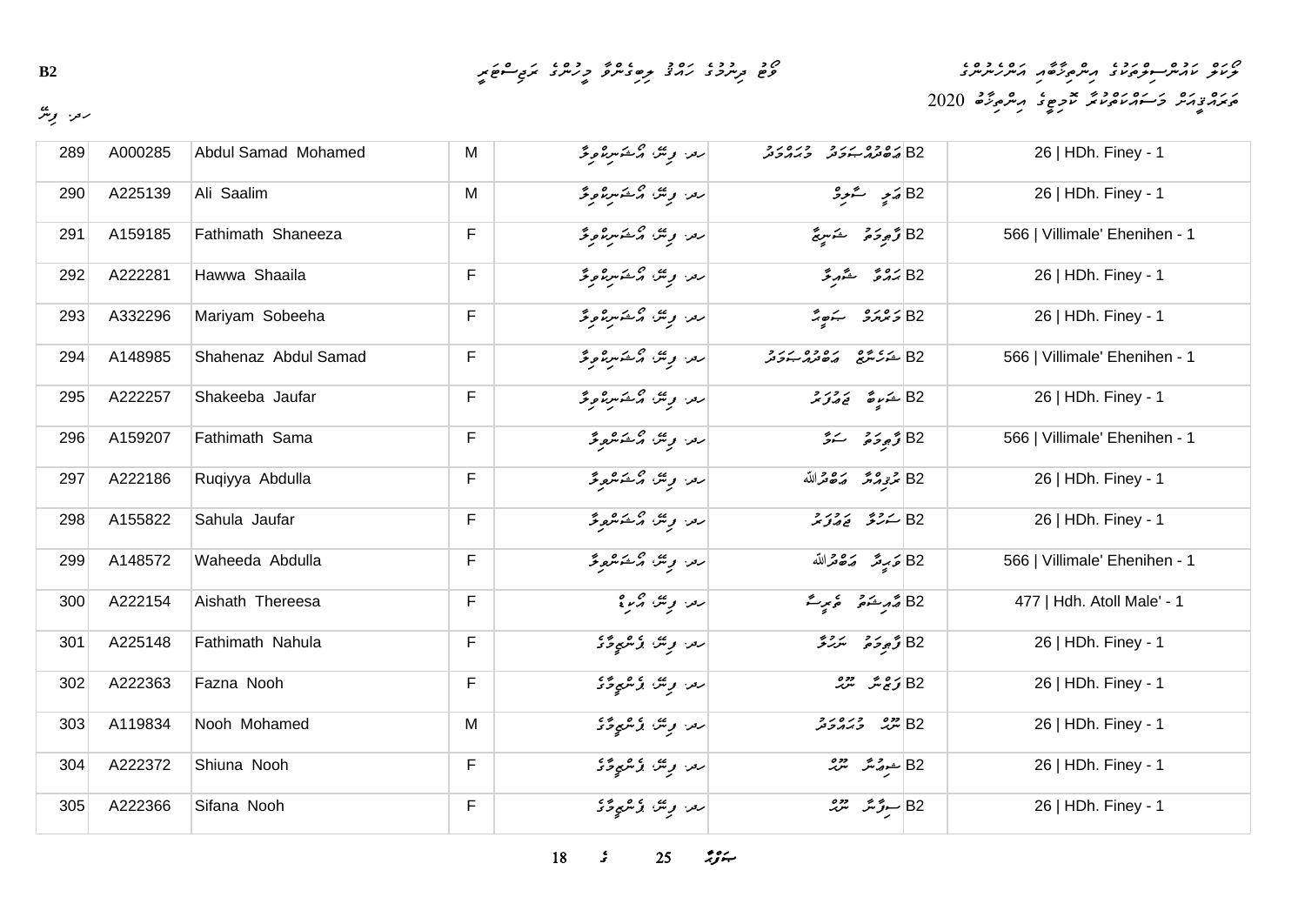*sCw7q7s5w7m< o<n9nOoAw7o< sCq;mAwBoEw7q<m; wBm;vB* م من المرة المرة المرة المرجع المرجع في المركبة 2020<br>مجم*د المريض المربوط المربع المرجع في المراجع المركبة* 

| 289 | A000285 | Abdul Samad Mohamed  | M           | رىر، وېش كەشكەرلىقى ئى    | B2 كەھەم بەر بەر دىرە بەر د         | 26   HDh. Finey - 1           |
|-----|---------|----------------------|-------------|---------------------------|-------------------------------------|-------------------------------|
| 290 | A225139 | Ali Saalim           | M           | رىر. بوش كەك سەھرىم بوگ   | B2 <i>جَ</i> حٍ گُمْحِرْدُ          | 26   HDh. Finey - 1           |
| 291 | A159185 | Fathimath Shaneeza   | F           | رىر. وېش كەككەسرىلەر ئى   | B2 تُرجوحَ حُمَ شَهْرِيجٌ           | 566   Villimale' Ehenihen - 1 |
| 292 | A222281 | Hawwa Shaaila        | F           | رىر. وېش كەككەسرىلەر ئى   | B2 جَهْرَةَ شَهْرِقَ                | 26   HDh. Finey - 1           |
| 293 | A332296 | Mariyam Sobeeha      | F           | رىر. بوش كەك سرىرە ئ      | B2 دېرو خوځه                        | 26   HDh. Finey - 1           |
| 294 | A148985 | Shahenaz Abdul Samad | F           | رىر. وېش كەشكىرىلارقى     | B2 شەرقىق بەرەرە بەرە               | 566   Villimale' Ehenihen - 1 |
| 295 | A222257 | Shakeeba Jaufar      | F           | رىر. بوش كەشكىرىلىمىڭ     | B2 شَرِيعٌ يَ <sub>مَ</sub> وَمَرَ  | 26   HDh. Finey - 1           |
| 296 | A159207 | Fathimath Sama       | F           | رىر. وِتَنَ كَرْجَمْعُومٌ | B2 وَّجِوحَةٌ سَتَرَّ               | 566   Villimale' Ehenihen - 1 |
| 297 | A222186 | Ruqiyya Abdulla      | F           | رىر. وېش كەشكىرىمى ئى     | B2 بحرّةٍ <i>مرّة مرّة هو</i> اللّه | 26   HDh. Finey - 1           |
| 298 | A155822 | Sahula Jaufar        | F           | رىر. بولىش كەككەنلىرى ئى  | B2 سَرْمَرٌ مَجْمَدُ رَمَّرُ        | 26   HDh. Finey - 1           |
| 299 | A148572 | Waheeda Abdulla      | F           | رىر. بوش كەشكىرىمىگە      | B2 <i>ق پيش مَن هن</i> دالله        | 566   Villimale' Ehenihen - 1 |
| 300 | A222154 | Aishath Thereesa     | F           | رمز، ویش مربوع            | B2 مەم ئىقتىم ھىم يېڭە              | 477   Hdh. Atoll Male' - 1    |
| 301 | A225148 | Fathimath Nahula     | F           | رىر. وېتر، بۇ ئىرى ۋى     | B2 تَ <i>مِيحَمْ سَرْبُ</i> مَّ     | 26   HDh. Finey - 1           |
| 302 | A222363 | Fazna Nooh           | F           | رىر. بوش بۇشپەۋك          | B2 تونچ میٹر میٹر 22                | 26   HDh. Finey - 1           |
| 303 | A119834 | Nooh Mohamed         | M           | رىر. وېتر، بۇشپەۋكە       | B2 يوه وره ديو                      | 26   HDh. Finey - 1           |
| 304 | A222372 | Shiuna Nooh          | $\mathsf F$ | رىر. وېش بۇشپېۋى          | B2 ش <i>وم</i> شرحه مین             | 26   HDh. Finey - 1           |
| 305 | A222366 | Sifana Nooh          | F           | رىر. وېتر، ۋېرىي ۋې       | B2 سوڙيئر پيرچ                      | 26   HDh. Finey - 1           |

 $18$  *s*  $25$  *n***<sub>i</sub>** *n***<sub>i</sub>**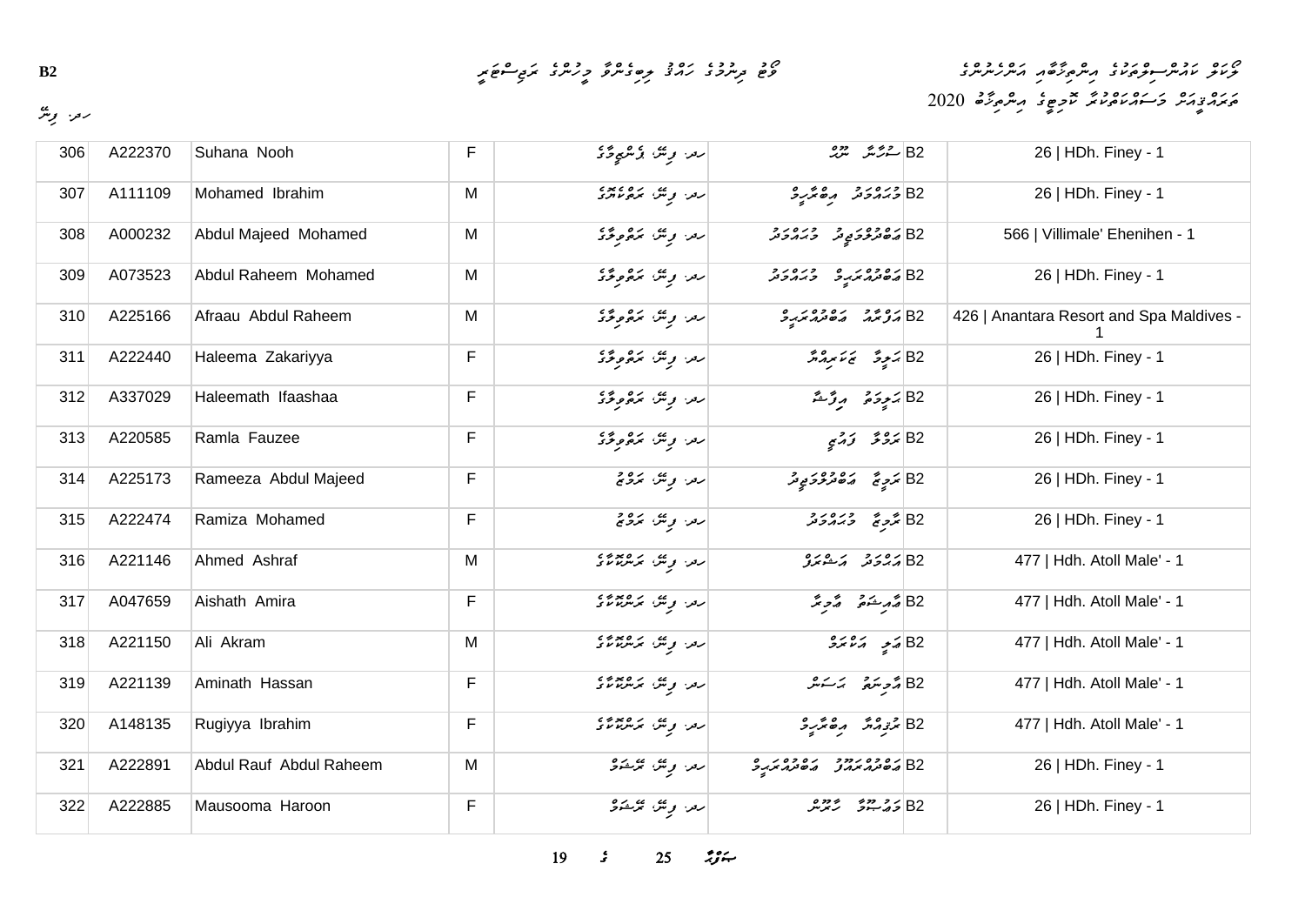*sCw7q7s5w7m< o<n9nOoAw7o< sCq;mAwBoEw7q<m; wBm;vB 2020*<br>*په پوهر وسوډيرونو لومو د موجو د مرمونه* 2020

| 306 | A222370 | Suhana Nooh             | $\mathsf F$ | رىر. وېتر، بۇلىرىمى ئۇتم | B2 گەنگە مەرق                            | 26   HDh. Finey - 1                      |
|-----|---------|-------------------------|-------------|--------------------------|------------------------------------------|------------------------------------------|
| 307 | A111109 | Mohamed Ibrahim         | M           | رور، ویکن بره ، بد ،     | B2 دېممبرد مقتربه                        | 26   HDh. Finey - 1                      |
| 308 | A000232 | Abdul Majeed Mohamed    | M           | رو، وِسٌ بَرَهُ وِمُرَّد | B2 בסיני פיל פילה פיל                    | 566   Villimale' Ehenihen - 1            |
| 309 | A073523 | Abdul Raheem Mohamed    | M           | رىر ، وېش برە وېڅو       | B2 בסבת הפרים כל הרבע                    | 26   HDh. Finey - 1                      |
| 310 | A225166 | Afraau Abdul Raheem     | M           | رىد. وېتر، برەۋەتتى      | B2 ג'ני הסינגיגי                         | 426   Anantara Resort and Spa Maldives - |
| 311 | A222440 | Haleema Zakariyya       | $\mathsf F$ | رىر. وېتر، برەم ۋى       | B2 بَرْجِرةٌ نَجْ مَبْرَ مِرْدَدٌ        | 26   HDh. Finey - 1                      |
| 312 | A337029 | Haleemath Ifaashaa      | $\mathsf F$ | رىر. وېتر، برە مەمۇر     | B2 بَر <i>ْدٍ دَهْ.</i> مِرْتَشَ         | 26   HDh. Finey - 1                      |
| 313 | A220585 | Ramla Fauzee            | $\mathsf F$ | رىر ، وېش برە وېڅو       | B2  يَرَوْنَزُ - تَرَ <i>مَّي</i>        | 26   HDh. Finey - 1                      |
| 314 | A225173 | Rameeza Abdul Majeed    | $\mathsf F$ | رور و میں مردم           | B2 يَرَجِ عَ صَ صَ حَرْجَ حَ حِ حَرْ     | 26   HDh. Finey - 1                      |
| 315 | A222474 | Ramiza Mohamed          | $\mathsf F$ | رمز ویکن بروج            | B2 تُرْحِ تُمْ تُرَمُّ حَرْبَهِ حَمَّدَ  | 26   HDh. Finey - 1                      |
| 316 | A221146 | Ahmed Ashraf            | M           | رىن ۋېر برمىزدى          | B2 كەبروتىر كەش <i>ەترى</i>              | 477   Hdh. Atoll Male' - 1               |
| 317 | A047659 | Aishath Amira           | F           | رىن ۋىش بۇشىدە ئ         | B2 مُرْمِسْہُ مُرْحِبُّہُ _              | 477   Hdh. Atoll Male' - 1               |
| 318 | A221150 | Ali Akram               | M           | رىن ۋېتر، بر ھىيە»       | B2   كەبىي كەنمەتمەنى 3                  | 477   Hdh. Atoll Male' - 1               |
| 319 | A221139 | Aminath Hassan          | F           | رو، ویش بر ۱۳۶۵ و        | B2 مُ <i>جِسَمْہِ بَرَسَ</i> سُ          | 477   Hdh. Atoll Male' - 1               |
| 320 | A148135 | Rugiyya Ibrahim         | $\mathsf F$ | رو، ویک برمیروی          | B2 برت <sub>و</sub> مگر م <i>ەھگرى</i> ئ | 477   Hdh. Atoll Male' - 1               |
| 321 | A222891 | Abdul Rauf Abdul Raheem | M           | رىرا بوش ئۇخۇل           | B2 בסינמי המכני המינה ב                  | 26   HDh. Finey - 1                      |
| 322 | A222885 | Mausooma Haroon         | F           | رىن ۋىتن ئۆشكى           | B2 دُرسته محمد محمد                      | 26   HDh. Finey - 1                      |

*19 s* 25 *if*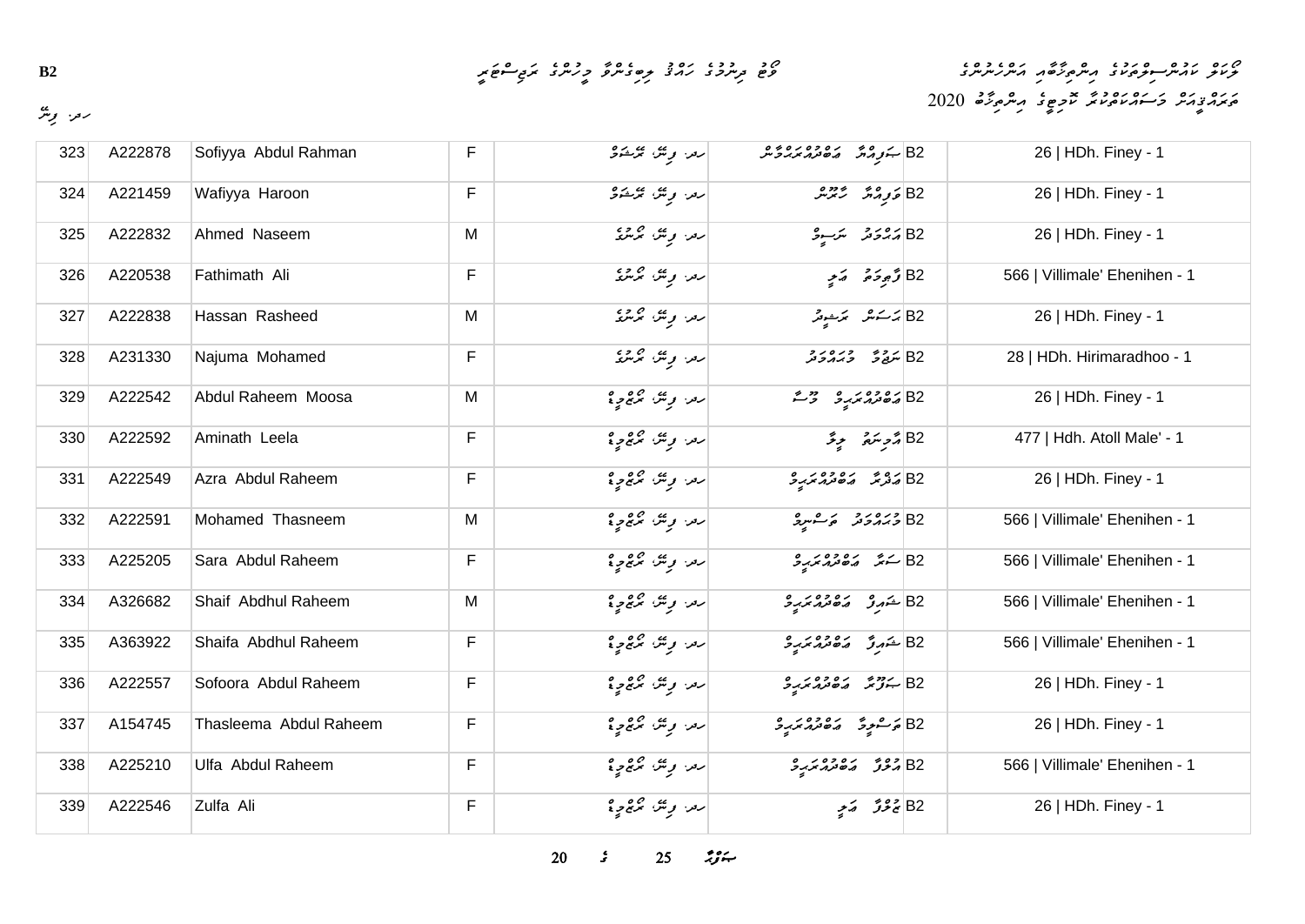*sCw7q7s5w7m< o<n9nOoAw7o< sCq;mAwBoEw7q<m; wBm;vB* م من المرة المرة المرة المرجع المرجع في المركبة 2020<br>مجم*د المريض المربوط المربع المرجع في المراجع المركبة* 

| 323 | A222878 | Sofiyya Abdul Rahman   | F           | رىر. وپش كۆشكى                 | B2 بے دورہ دے دہ دورہ دی                           | 26   HDh. Finey - 1           |
|-----|---------|------------------------|-------------|--------------------------------|----------------------------------------------------|-------------------------------|
| 324 | A221459 | Wafiyya Haroon         | F           | رىر، بوش ئۇيندۇ                | B2 <i>قَرِمْہُ جَيْمُ</i> ہُ                       | 26   HDh. Finey - 1           |
| 325 | A222832 | Ahmed Naseem           | M           | رىر.  وېش برگىرى               |                                                    | 26   HDh. Finey - 1           |
| 326 | A220538 | Fathimath Ali          | F           | رىن   و ش <sup>ى   ر</sup> ە ج | B2 تَهِ دَبَرَ مَر <sub>ْ</sub> مِ                 | 566   Villimale' Ehenihen - 1 |
| 327 | A222838 | Hassan Rasheed         | M           | رمه ویش برمرد                  | B2  يزسترېنل    ټرېغ <sub>و</sub> متر              | 26   HDh. Finey - 1           |
| 328 | A231330 | Najuma Mohamed         | F           | رىن بوش كۈچۈ                   | B2 يَرْدُو بِهُ بِرَوْمَرْ بِرَ                    | 28   HDh. Hirimaradhoo - 1    |
| 329 | A222542 | Abdul Raheem Moosa     | M           | رىن بوش ئىق ئوقى               | B2 كەھەممەر 2-2- ئۇسىم                             | 26   HDh. Finey - 1           |
| 330 | A222592 | Aminath Leela          | $\mathsf F$ | رىر. بويىش، ئۇيج دې            | B2 مُجِسَمٌ مِعٌ                                   | 477   Hdh. Atoll Male' - 1    |
| 331 | A222549 | Azra Abdul Raheem      | $\mathsf F$ | رىن بويتن برچ چ                | B2 كەنزىر مەھ <i>ەركەبد</i> ۇ                      | 26   HDh. Finey - 1           |
| 332 | A222591 | Mohamed Thasneem       | ${\sf M}$   | رىر. بويىش مىق جەم             | B2 <i>دېمم</i> ونر کوگورو                          | 566   Villimale' Ehenihen - 1 |
| 333 | A225205 | Sara Abdul Raheem      | F           | رمه ویکن نده و ه               | B2 جَعَدَ مَصْعَمْ مَعْدِ حَ                       | 566   Villimale' Ehenihen - 1 |
| 334 | A326682 | Shaif Abdhul Raheem    | M           | رىن بويتن برچ چ                | B2 خىمىر ئەھەر مەرىج بىر ئى                        | 566   Villimale' Ehenihen - 1 |
| 335 | A363922 | Shaifa Abdhul Raheem   | $\mathsf F$ | رىن بوش ئىق ئوقى               | B2 خىمىر ئەھەر <i>مەيدى</i> ر ئ                    | 566   Villimale' Ehenihen - 1 |
| 336 | A222557 | Sofoora Abdul Raheem   | $\mathsf F$ | رمز، ویکن مرج و ه              | B2 ينومو برە دەبر بور                              | 26   HDh. Finey - 1           |
| 337 | A154745 | Thasleema Abdul Raheem | F           | رىن بويتن برچ چ                | B2 <sub>جُر</sub> مُو پُر مُص <i>ور م</i> رَبِّر و | 26   HDh. Finey - 1           |
| 338 | A225210 | Ulfa Abdul Raheem      | $\mathsf F$ | رمز وبتن ترج و ه               | B2 روم رومور و د                                   | 566   Villimale' Ehenihen - 1 |
| 339 | A222546 | Zulfa Ali              | F           | رىر. بويىش بوھ ھ               | B2 نج يحرَّزُ - مَرْمٍ                             | 26   HDh. Finey - 1           |

 $20$  *s*  $25$  *z*  $25$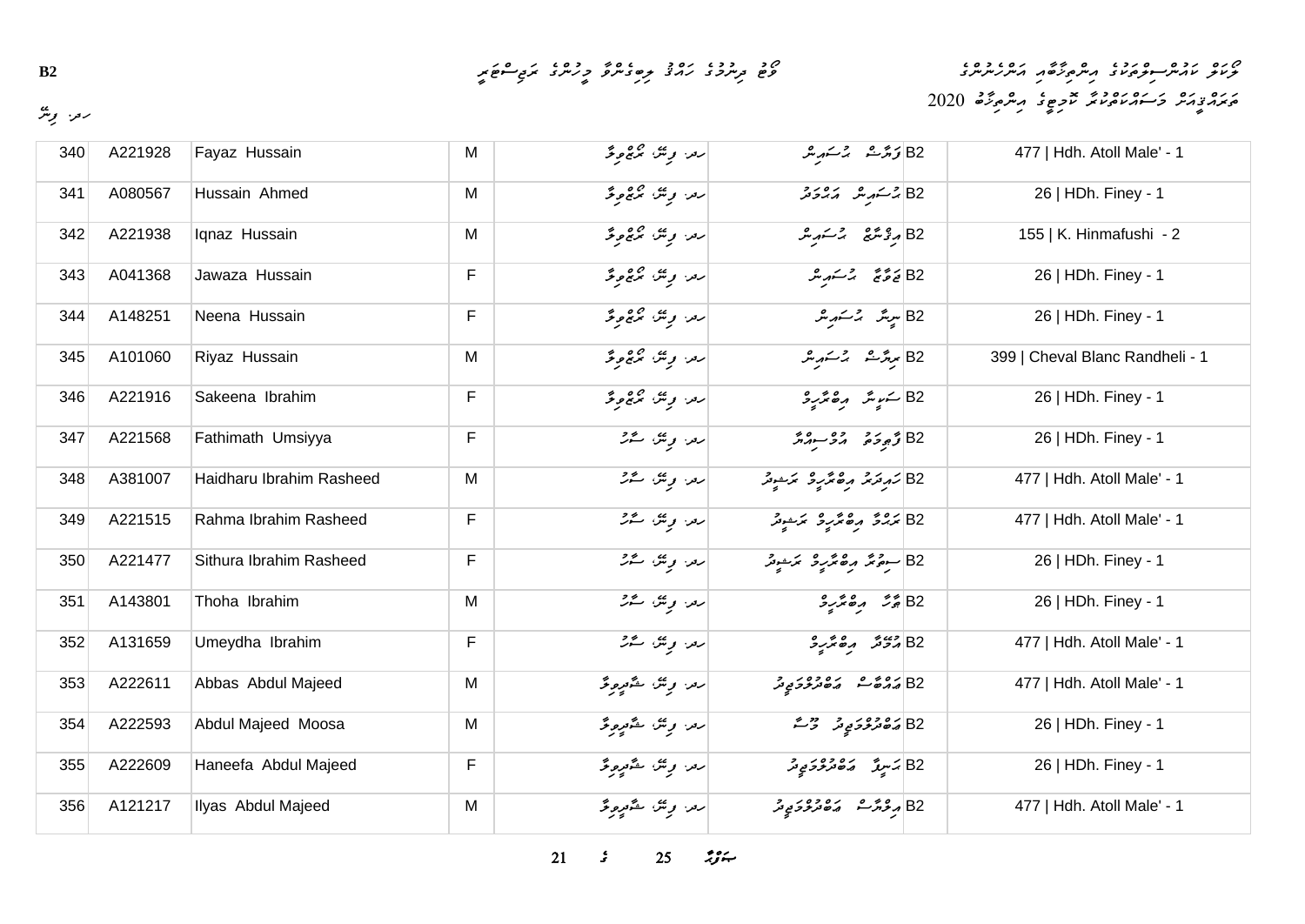*sCw7q7s5w7m< o<n9nOoAw7o< sCq;mAwBoEw7q<m; wBm;vB* م من المرة المرة المرة المرجع المرجع في المركبة 2020<br>مجم*د المريض المربوط المربع المرجع في المراجع المركبة* 

| 340 | A221928 | Fayaz Hussain            | M           | رىر. وېتر، برچ ئوگ        | B2 ئوتۇشقە ئەسكەرلىگە                                       | 477   Hdh. Atoll Male' - 1      |
|-----|---------|--------------------------|-------------|---------------------------|-------------------------------------------------------------|---------------------------------|
| 341 | A080567 | Hussain Ahmed            | M           | رىر. وېش برچ ئوگ          | B2 يُرْسَمْ بِهِ مَدْوَمْرَ                                 | 26   HDh. Finey - 1             |
| 342 | A221938 | Ignaz Hussain            | M           | رىر. وېش برچ ئوگ          | B2 مۇشى مى ئەسكىرىش                                         | 155   K. Hinmafushi - 2         |
| 343 | A041368 | Jawaza Hussain           | $\mathsf F$ | رىر. وېش ئۇچ ئۇ           | B2 يَحَرَّجُ گَرْسَهِ بِرْ                                  | 26   HDh. Finey - 1             |
| 344 | A148251 | Neena Hussain            | F           | رىر. وېش برچ ئوگ          | B2 سرینگر کرکٹ میرینگر                                      | 26   HDh. Finey - 1             |
| 345 | A101060 | Riyaz Hussain            | M           | رىر. وېش برچ ئوگ          | B2 برمَّرْتْ پُرْسَهْرِ مَ <i>رْ</i>                        | 399   Cheval Blanc Randheli - 1 |
| 346 | A221916 | Sakeena Ibrahim          | F           | رىر. وېش برچ ئوگ          | B2 سَمٰرٍ مَثَرَّ مِرْھ مُرَبِّرِ 3                         | 26   HDh. Finey - 1             |
| 347 | A221568 | Fathimath Umsiyya        | $\mathsf F$ | رمز، وِمَثَلَ سُدُرٌ.     | B2 رُجوحَة محرَّ بِمَدَّرٌ                                  | 26   HDh. Finey - 1             |
| 348 | A381007 | Haidharu Ibrahim Rasheed | M           | رىر. وېتر، گرز            | B2 <i>كەمەتكە م</i> ەھەر ئالەر ئىر يىلىدى                   | 477   Hdh. Atoll Male' - 1      |
| 349 | A221515 | Rahma Ibrahim Rasheed    | $\mathsf F$ | رمر، ویش کے ح             | B2 <i>بَرْبْدُوَّ وەھْرِّدْبِ</i> بَرَ <sub>ْشُ</sub> مِتْر | 477   Hdh. Atoll Male' - 1      |
| 350 | A221477 | Sithura Ibrahim Rasheed  | $\mathsf F$ | رمر. وِ مَثَرُ، سُدُرُ    | B2 سوتھ میں تمریکی تم شوتر                                  | 26   HDh. Finey - 1             |
| 351 | A143801 | Thoha Ibrahim            | M           | رمر، ویش کے ل             | B2 جُرَّ مِنْ جُرْبِهِ ۖ                                    | 26   HDh. Finey - 1             |
| 352 | A131659 | Umeydha Ibrahim          | F           | رمز، وِمَثَلَ سُدُرٌ.     | B2 محقر مڤتربرو                                             | 477   Hdh. Atoll Male' - 1      |
| 353 | A222611 | Abbas Abdul Majeed       | M           | رىر. وىش ئەرەق            | B2 <i>مەمۇسى مەھەردە ب</i> و                                | 477   Hdh. Atoll Male' - 1      |
| 354 | A222593 | Abdul Majeed Moosa       | M           | رىن   وِ ئَنْ   ڪُنوع گ   | B2 - مەمرىرى بور مەسىر<br>192 - مەمرىرى بور                 | 26   HDh. Finey - 1             |
| 355 | A222609 | Haneefa Abdul Majeed     | F           | رىر. وِتَنَ شَگْلِومِ وَّ | B2 ئەس ئەھ ئەم <i>ۋە بە</i> ر                               | 26   HDh. Finey - 1             |
| 356 | A121217 | Ilyas Abdul Majeed       | M           | رىر. وِتَنَ شَيْرِهِ وَّ  | B2 مرېږ شه په مرمونو <i>په د</i>                            | 477   Hdh. Atoll Male' - 1      |

 $21$  *s*  $25$  *z*  $25$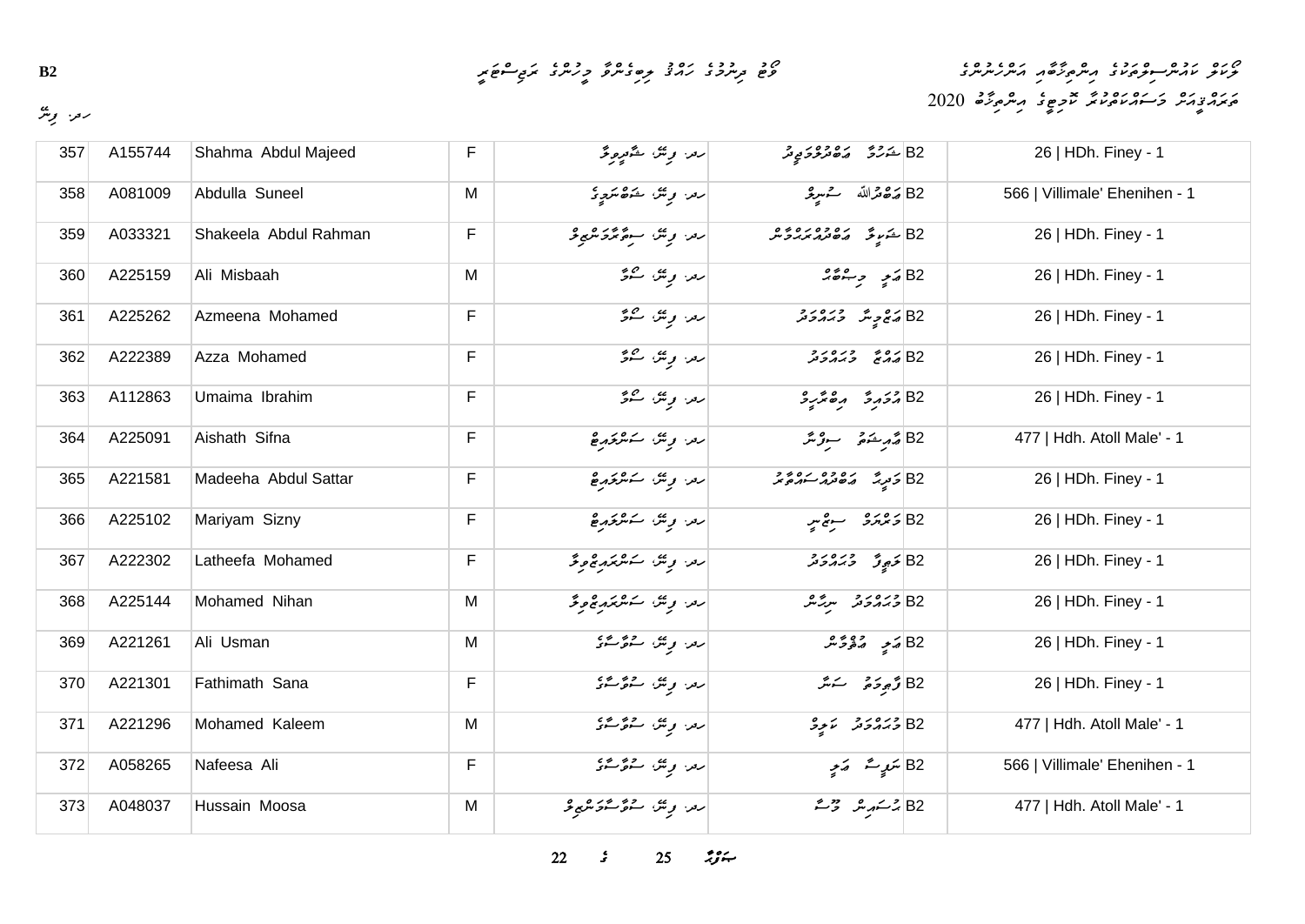*sCw7q7s5w7m< o<n9nOoAw7o< sCq;mAwBoEw7q<m; wBm;vB* م من المرة المرة المرة المرجع المرجع في المركبة 2020<br>مجم*د المريض المربوط المربع المرجع في المراجع المركبة* 

| 357 | A155744 | Shahma Abdul Majeed   | F           | رىر. وِتَنَ ڪُمُوهِ گُ   | B2 څرڅرمخه پره <i>دو</i> کو پوتر            | 26   HDh. Finey - 1           |
|-----|---------|-----------------------|-------------|--------------------------|---------------------------------------------|-------------------------------|
| 358 | A081009 | Abdulla Suneel        | M           | رىر. وِسَّ شەھىرىي ئ     | B2 \$5% لله كسرپۇ                           | 566   Villimale' Ehenihen - 1 |
| 359 | A033321 | Shakeela Abdul Rahman | F           | رىر. رېش سوۋېردىشى ئ     | B2 خَرِيعٌ صَ <i>مَّه مَرْمَ بَرَ حَمَّ</i> | 26   HDh. Finey - 1           |
| 360 | A225159 | Ali Misbaah           | M           | رىر. بويىش كەنتى         | B2 ر <sub>َم</sub> ح و مقصد                 | 26   HDh. Finey - 1           |
| 361 | A225262 | Azmeena Mohamed       | $\mathsf F$ | رىر. بويىش كەمچ          | B2 كەيم <i>چىگە جەم</i> كەتر                | 26   HDh. Finey - 1           |
| 362 | A222389 | Azza Mohamed          | F           | رورا ويش كردمج           | B2 كەيم جەمەدىر                             | 26   HDh. Finey - 1           |
| 363 | A112863 | Umaima Ibrahim        | F           | رىر. وېش كىنتى           | B2 <i>مُحَمِّدةً م</i> ُصَمَّرِدة           | 26   HDh. Finey - 1           |
| 364 | A225091 | Aishath Sifna         | $\mathsf F$ | رىد. وېش سەمرىرمۇ        | B2 مۇم شەمۇر سىرتىگە                        | 477   Hdh. Atoll Male' - 1    |
| 365 | A221581 | Madeeha Abdul Sattar  | F           | رىد. وېئن سەمرىخ مەھ     | B2 كورگر مەھەرە مەدە بو                     | 26   HDh. Finey - 1           |
| 366 | A225102 | Mariyam Sizny         | F           | رىد. وېش سەمرىخ مەھ      | B2 <i>و برو ده</i> سویځ س                   | 26   HDh. Finey - 1           |
| 367 | A222302 | Latheefa Mohamed      | F           | رىر. وېش سەمەمەم چامۇ    | B2 <i>كَبِهِ رُّ دُبَرْ دُوَد</i> َ         | 26   HDh. Finey - 1           |
| 368 | A225144 | Mohamed Nihan         | M           | رىر. وېش سەھەممەج قوق    | B2 <i>\$ بەد جەنتى</i> س <i>ېڭى</i> ر       | 26   HDh. Finey - 1           |
| 369 | A221261 | Ali Usman             | M           | رىر. بەش سەۋىسى          | B2 كەمچە ھەقەتلەر                           | 26   HDh. Finey - 1           |
| 370 | A221301 | Fathimath Sana        | F           | رو، ویش کے والے وہ       | B2 <i>وَّجِوحَةْ</i> سَتَشَ                 | 26   HDh. Finey - 1           |
| 371 | A221296 | Mohamed Kaleem        | M           | رى دېگە ھەھقىدى          | B2  <i>وبروبرو توپ</i> و                    | 477   Hdh. Atoll Male' - 1    |
| 372 | A058265 | Nafeesa Ali           | F           | رى دېگە ھەھقىدى          | B2 سَمِرٍ شَمَ صَمِرٍ                       | 566   Villimale' Ehenihen - 1 |
| 373 | A048037 | Hussain Moosa         | M           | رىر. بېش سەھەسەۋىترىپەتى | B2 پرڪ <sub>مبر</sub> شرح پڻ                | 477   Hdh. Atoll Male' - 1    |

 $22$  *s*  $25$  *z*  $25$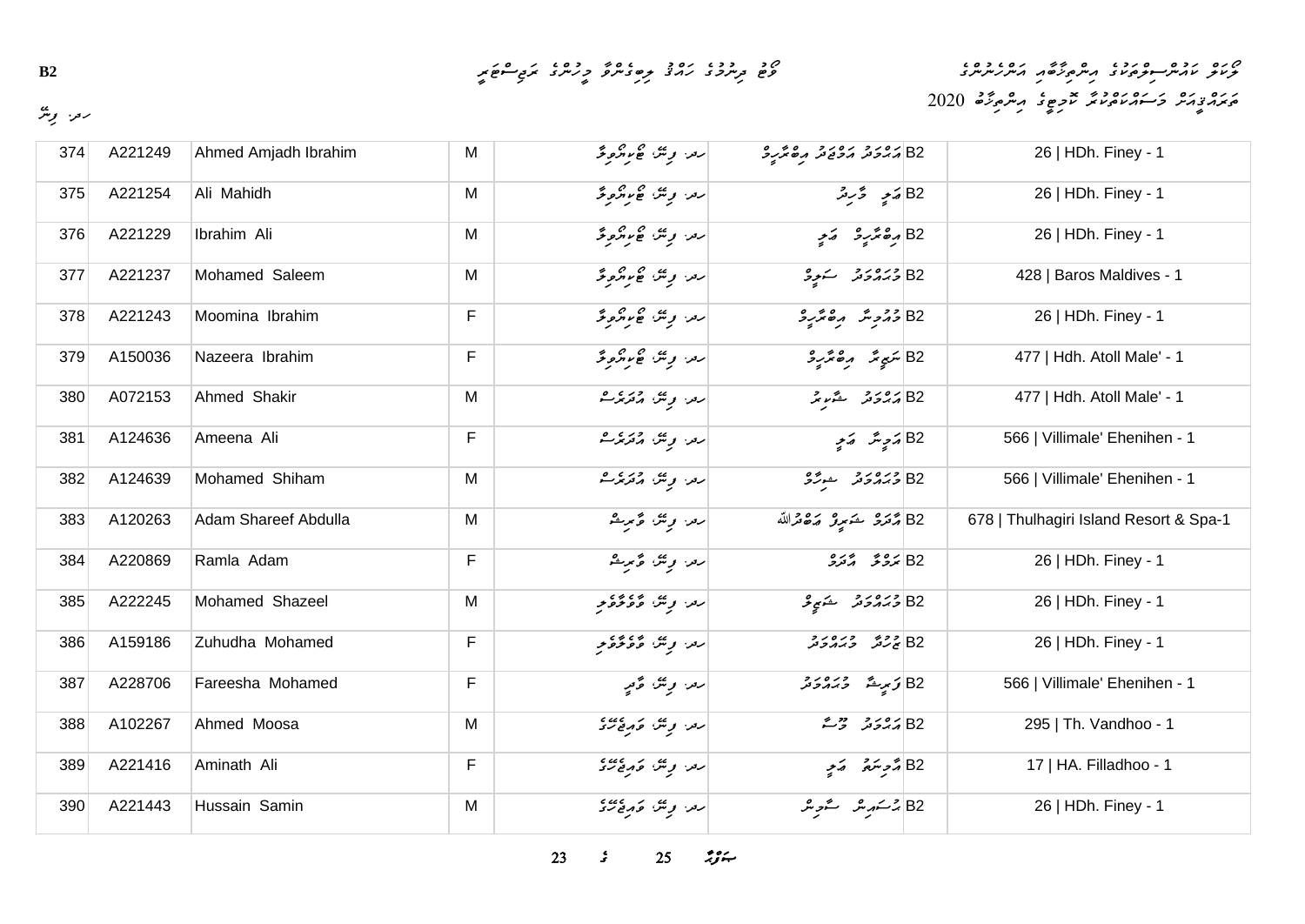*sCw7q7s5w7m< o<n9nOoAw7o< sCq;mAwBoEw7q<m; wBm;vB* م من المرة المرة المرة المرجع المرجع في المركبة 2020<br>مجم*د المريض المربوط المربع المرجع في المراجع المركبة* 

| 374 | A221249 | Ahmed Amjadh Ibrahim | M            | رور ويتر، غيروگرونڅر  | B2 ג'ג'כ' ג'פייק קים ג'קיכ             | 26   HDh. Finey - 1                    |
|-----|---------|----------------------|--------------|-----------------------|----------------------------------------|----------------------------------------|
| 375 | A221254 | Ali Mahidh           | M            | رىر. وپىن ھىم مركز ئى | B2  رَمِي تَرَبِّرُ                    | 26   HDh. Finey - 1                    |
| 376 | A221229 | Ibrahim Ali          | M            | رىر. وېتر، ھىمەمرى ئ  | B2 مەھەمگەر ھەم كەم                    | 26   HDh. Finey - 1                    |
| 377 | A221237 | Mohamed Saleem       | M            | رىر. رېتر، ھىرىرموگر  | B2  <i>3223 كمبو</i> د                 | 428   Baros Maldives - 1               |
| 378 | A221243 | Moomina Ibrahim      | F            | رىر. وېتر، ھىمەمرى ئى | B2 دُمُ دِيمٌ مِنْ مُدِّرِدْ           | 26   HDh. Finey - 1                    |
| 379 | A150036 | Nazeera Ibrahim      | F            | رىر. وېئل ھىم مركز ئى | B2 ىىرى مەھ <i>مەر ب</i>               | 477   Hdh. Atoll Male' - 1             |
| 380 | A072153 | Ahmed Shakir         | M            | رىر. وېش مەمكەس ھ     | B2 كەبرى قىرىمىتى ئىشتىر بىر كىل       | 477   Hdh. Atoll Male' - 1             |
| 381 | A124636 | Ameena Ali           | $\mathsf F$  | رىر. وېش مەمەكرى      | B2 كەچ ئىگە بەكتى چ                    | 566   Villimale' Ehenihen - 1          |
| 382 | A124639 | Mohamed Shiham       | M            | رىر. وېش مەمەرىمى     | $5.2 - 7.2 - 82$                       | 566   Villimale' Ehenihen - 1          |
| 383 | A120263 | Adam Shareef Abdulla | M            | رىما اوتش كەيرىش      | B2 مُرْمَرْدٌ سُمَعِيوْ مُرْهَمْراللّه | 678   Thulhagiri Island Resort & Spa-1 |
| 384 | A220869 | Ramla Adam           | $\mathsf{F}$ | رىما اوتكل اڭرىپى     | B2 يَرْوَنَّى يَرْتُورْ                | 26   HDh. Finey - 1                    |
| 385 | A222245 | Mohamed Shazeel      | M            | رى وتى ئۇق ئۇي        | B2  <i>ۇبەھ</i> 5% مىقەمچ              | 26   HDh. Finey - 1                    |
| 386 | A159186 | Zuhudha Mohamed      | F            | رى وىش ئۇقمۇمۇم       | B2 يحر <sup>و</sup> به دره در د        | 26   HDh. Finey - 1                    |
| 387 | A228706 | Fareesha Mohamed     | F            | رمر· وِ مَشَ گَرِ مِ  | B2 كۆمچىنى <i>گە ئەتەرەت</i> ر         | 566   Villimale' Ehenihen - 1          |
| 388 | A102267 | Ahmed Moosa          | M            | رود ویش خهره برد      | $23.22$ B2                             | 295   Th. Vandhoo - 1                  |
| 389 | A221416 | Aminath Ali          | F            | رد. ویژ؛ خهره بره     | B2 مُجِسَعَةً صَعِ                     | 17   HA. Filladhoo - 1                 |
| 390 | A221443 | Hussain Samin        | M            | رود ویش خهره برد      | B2 پرڪيريش ڪوپش                        | 26   HDh. Finey - 1                    |

 $23$  *s*  $25$  *z*  $25$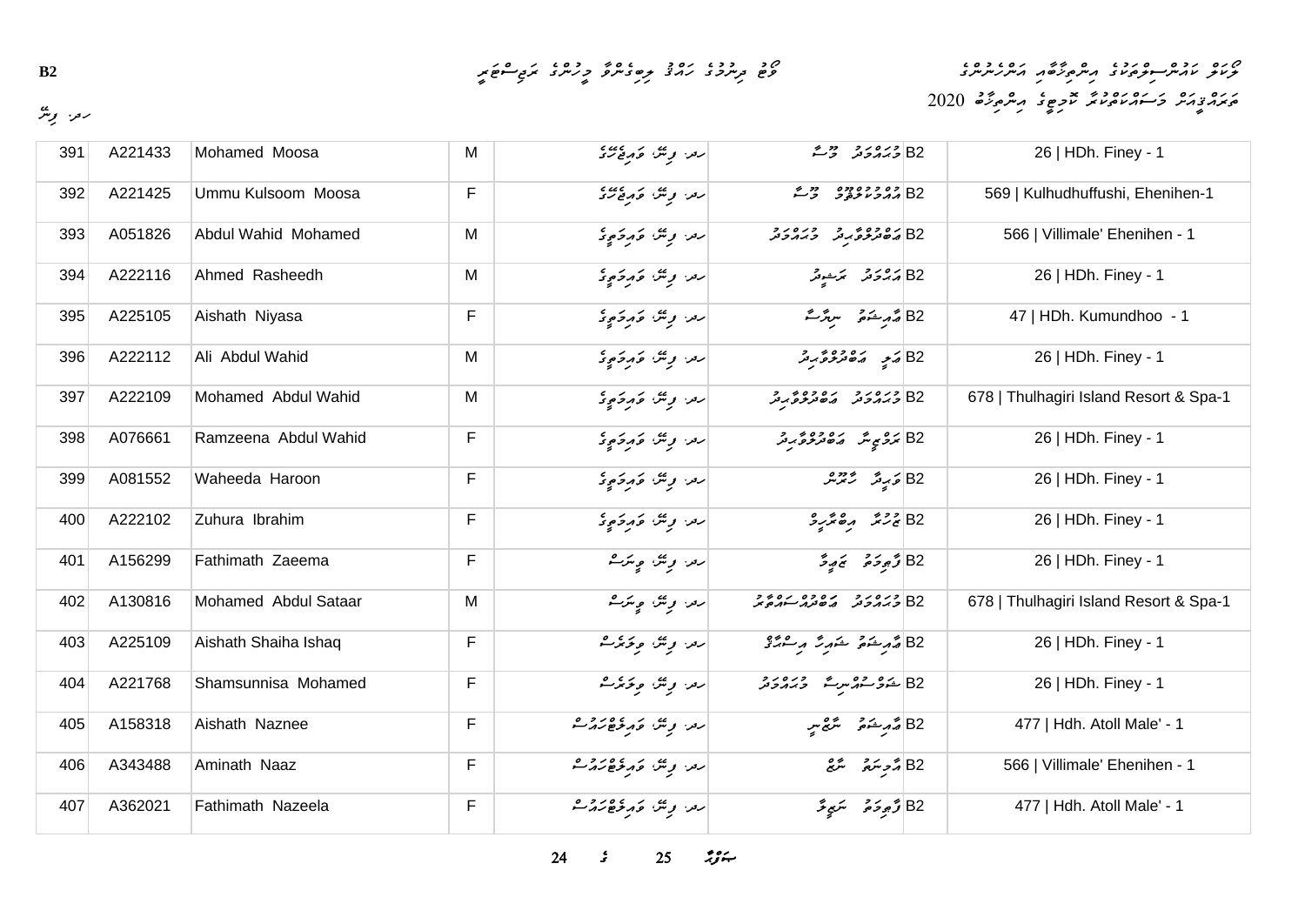*sCw7q7s5w7m< o<n9nOoAw7o< sCq;mAwBoEw7q<m; wBm;vB* م من المرة المرة المرة المرجع المرجع في المركبة 2020<br>مجم*د المريض المربوط المربع المرجع في المراجع المركبة* 

| 391 | A221433 | Mohamed Moosa        | M           | رد. ویژ؛ خهره بره                                  | $23.323$ B2                                  | 26   HDh. Finey - 1                    |
|-----|---------|----------------------|-------------|----------------------------------------------------|----------------------------------------------|----------------------------------------|
| 392 | A221425 | Ummu Kulsoom Moosa   | F           | ردر ویش خهره من                                    | $2, 3, 2, 2, 2, 3$ B2                        | 569   Kulhudhuffushi, Ehenihen-1       |
| 393 | A051826 | Abdul Wahid Mohamed  | M           | رىن وىش قەرقەپى                                    | B2 كەھەمگەر قەممەدە بەر 19                   | 566   Villimale' Ehenihen - 1          |
| 394 | A222116 | Ahmed Rasheedh       | M           | رىن وِسَّ قەدقەد                                   | B2 كەبرى قىم كەر ئىرىدىگە                    | 26   HDh. Finey - 1                    |
| 395 | A225105 | Aishath Niyasa       | F           | رىر: وِ شَنَ كَرْمِرْكَمْ وَ وَ                    | B2 مُرمِسْہُ مِنْ سِرَبُّہُ _                | 47   HDh. Kumundhoo - 1                |
| 396 | A222112 | Ali Abdul Wahid      | M           | رىر. وتىن قەرقەپى                                  | B2 <i>جَجِ – جَرْهُ جُرْحُوَّبِ</i> تَرُ     | 26   HDh. Finey - 1                    |
| 397 | A222109 | Mohamed Abdul Wahid  | M           | رىن وىك قەدقۇقى                                    | B2 37070 رە دەپرىر<br>B2 375.5 ھەمدىرى       | 678   Thulhagiri Island Resort & Spa-1 |
| 398 | A076661 | Ramzeena Abdul Wahid | F           | رىن وىش قەرقەپى                                    | B2 ىر <sub>ۇ ئ</sub> ېر ئەھەر <i>خۇرگە</i> ر | 26   HDh. Finey - 1                    |
| 399 | A081552 | Waheeda Haroon       | F           | رىن وِسَّ قەدقەتى                                  | B2 ك <i>وبية من ترتين</i> ر                  | 26   HDh. Finey - 1                    |
| 400 | A222102 | Zuhura Ibrahim       | F           | رىر وىش قەرقۇق                                     | B2 يُحرَ بَرَّ مُتَصَمَّرِ وَ                | 26   HDh. Finey - 1                    |
| 401 | A156299 | Fathimath Zaeema     | F           | رمزا ويثن ويترك                                    | B2 <i>وَّجِوحَمْ بَحَمٍ وَّ</i>              | 26   HDh. Finey - 1                    |
| 402 | A130816 | Mohamed Abdul Sataar | M           | رمز، ويتن ويترب                                    | B2 31010 2000 1010                           | 678   Thulhagiri Island Resort & Spa-1 |
| 403 | A225109 | Aishath Shaiha Ishaq | F           | رىر. وېش جەقەتتە                                   | B2 مەم شىر ئىكتىر قىر ئىس ئىكتى              | 26   HDh. Finey - 1                    |
| 404 | A221768 | Shamsunnisa Mohamed  | $\mathsf F$ | رىر. وېش ھەقەتمەش                                  | B2 خۇرخۇسرىگە ئە <i>مەم</i> دىر              | 26   HDh. Finey - 1                    |
| 405 | A158318 | Aishath Naznee       | F           | رىر. بەش كەركەھ ئەمرى                              | B2 مۇم يىشقو ئىستىم بىر                      | 477   Hdh. Atoll Male' - 1             |
| 406 | A343488 | Aminath Naaz         | F           | رىر. بەش كەركەھ ئەمام                              | B2 مُجِسَعَةٌ مُتَّتَّج                      | 566   Villimale' Ehenihen - 1          |
| 407 | A362021 | Fathimath Nazeela    | F           | رىر. ب <sub>و</sub> ش ئ <i>ۇم</i> ۇھ <i>كە</i> ر م | B2 <i>وَّجِ دَمَّةَ</i> سَمِعٍ مَّ           | 477   Hdh. Atoll Male' - 1             |

 $24$  *s*  $25$  *z*  $25$